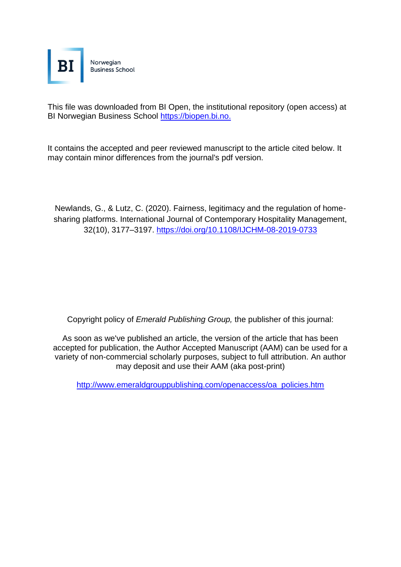

This file was downloaded from BI Open, the institutional repository (open access) at BI Norwegian Business School [https://biopen.bi.no.](https://biopen.bi.no./)

It contains the accepted and peer reviewed manuscript to the article cited below. It may contain minor differences from the journal's pdf version.

Newlands, G., & Lutz, C. (2020). Fairness, legitimacy and the regulation of homesharing platforms. International Journal of Contemporary Hospitality Management, 32(10), 3177–3197. https://doi.org/10.1108/IJCHM-08-2019-0733

Copyright policy of *Emerald Publishing Group,* the publisher of this journal:

As soon as we've published an article, the version of the article that has been accepted for publication, the Author Accepted Manuscript (AAM) can be used for a variety of non-commercial scholarly purposes, subject to full attribution. An author may deposit and use their AAM (aka post-print)

[http://www.emeraldgrouppublishing.com/openaccess/oa\\_policies.htm](http://www.emeraldgrouppublishing.com/openaccess/oa_policies.htm)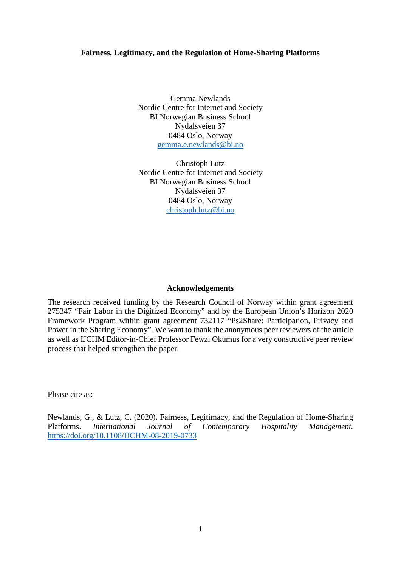# **Fairness, Legitimacy, and the Regulation of Home-Sharing Platforms**

Gemma Newlands Nordic Centre for Internet and Society BI Norwegian Business School Nydalsveien 37 0484 Oslo, Norway [gemma.e.newlands@bi.no](mailto:gemma.e.newlands@bi.no)

Christoph Lutz Nordic Centre for Internet and Society BI Norwegian Business School Nydalsveien 37 0484 Oslo, Norway [christoph.lutz@bi.no](mailto:christoph.lutz@bi.no)

#### **Acknowledgements**

The research received funding by the Research Council of Norway within grant agreement 275347 "Fair Labor in the Digitized Economy" and by the European Union's Horizon 2020 Framework Program within grant agreement 732117 "Ps2Share: Participation, Privacy and Power in the Sharing Economy". We want to thank the anonymous peer reviewers of the article as well as IJCHM Editor-in-Chief Professor Fewzi Okumus for a very constructive peer review process that helped strengthen the paper.

Please cite as:

Newlands, G., & Lutz, C. (2020). Fairness, Legitimacy, and the Regulation of Home-Sharing Platforms. *International Journal of Contemporary Hospitality Management.* <https://doi.org/10.1108/IJCHM-08-2019-0733>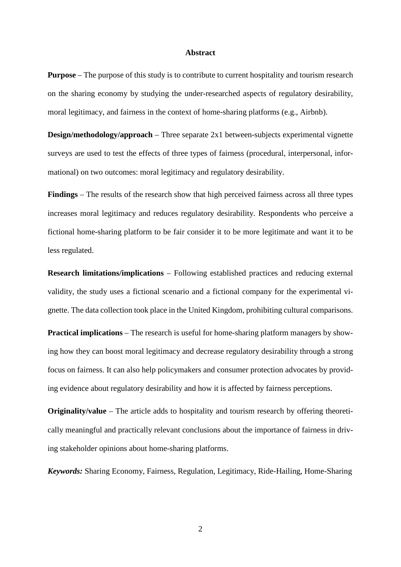#### **Abstract**

**Purpose** – The purpose of this study is to contribute to current hospitality and tourism research on the sharing economy by studying the under-researched aspects of regulatory desirability, moral legitimacy, and fairness in the context of home-sharing platforms (e.g., Airbnb).

**Design/methodology/approach** – Three separate 2x1 between-subjects experimental vignette surveys are used to test the effects of three types of fairness (procedural, interpersonal, informational) on two outcomes: moral legitimacy and regulatory desirability.

**Findings** – The results of the research show that high perceived fairness across all three types increases moral legitimacy and reduces regulatory desirability. Respondents who perceive a fictional home-sharing platform to be fair consider it to be more legitimate and want it to be less regulated.

**Research limitations/implications** – Following established practices and reducing external validity, the study uses a fictional scenario and a fictional company for the experimental vignette. The data collection took place in the United Kingdom, prohibiting cultural comparisons.

**Practical implications** – The research is useful for home-sharing platform managers by showing how they can boost moral legitimacy and decrease regulatory desirability through a strong focus on fairness. It can also help policymakers and consumer protection advocates by providing evidence about regulatory desirability and how it is affected by fairness perceptions.

**Originality/value** – The article adds to hospitality and tourism research by offering theoretically meaningful and practically relevant conclusions about the importance of fairness in driving stakeholder opinions about home-sharing platforms.

*Keywords:* Sharing Economy, Fairness, Regulation, Legitimacy, Ride-Hailing, Home-Sharing

2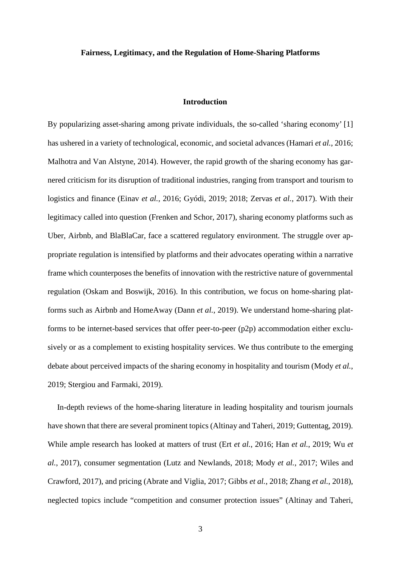#### **Fairness, Legitimacy, and the Regulation of Home-Sharing Platforms**

## **Introduction**

By popularizing asset-sharing among private individuals, the so-called 'sharing economy' [1] has ushered in a variety of technological, economic, and societal advances (Hamari *et al.*, 2016; Malhotra and Van Alstyne, 2014). However, the rapid growth of the sharing economy has garnered criticism for its disruption of traditional industries, ranging from transport and tourism to logistics and finance (Einav *et al.*, 2016; Gyódi, 2019; 2018; Zervas *et al.*, 2017). With their legitimacy called into question (Frenken and Schor, 2017), sharing economy platforms such as Uber, Airbnb, and BlaBlaCar, face a scattered regulatory environment. The struggle over appropriate regulation is intensified by platforms and their advocates operating within a narrative frame which counterposes the benefits of innovation with the restrictive nature of governmental regulation (Oskam and Boswijk, 2016). In this contribution, we focus on home-sharing platforms such as Airbnb and HomeAway (Dann *et al.*, 2019). We understand home-sharing platforms to be internet-based services that offer peer-to-peer (p2p) accommodation either exclusively or as a complement to existing hospitality services. We thus contribute to the emerging debate about perceived impacts of the sharing economy in hospitality and tourism (Mody *et al.*, 2019; Stergiou and Farmaki, 2019).

In-depth reviews of the home-sharing literature in leading hospitality and tourism journals have shown that there are several prominent topics (Altinay and Taheri, 2019; Guttentag, 2019). While ample research has looked at matters of trust (Ert *et al.*, 2016; Han *et al.*, 2019; Wu *et al.*, 2017), consumer segmentation (Lutz and Newlands, 2018; Mody *et al.*, 2017; Wiles and Crawford, 2017), and pricing (Abrate and Viglia, 2017; Gibbs *et al.*, 2018; Zhang *et al.*, 2018), neglected topics include "competition and consumer protection issues" (Altinay and Taheri,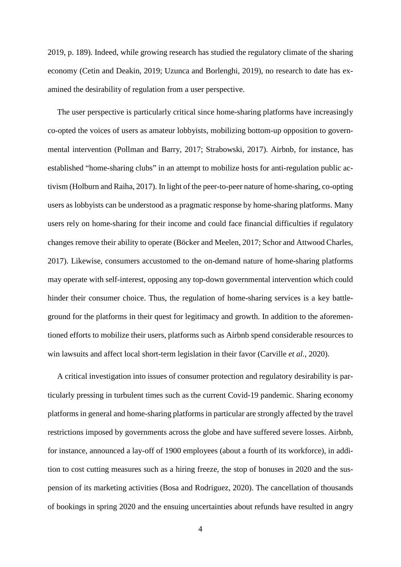2019, p. 189). Indeed, while growing research has studied the regulatory climate of the sharing economy (Cetin and Deakin, 2019; Uzunca and Borlenghi, 2019), no research to date has examined the desirability of regulation from a user perspective.

The user perspective is particularly critical since home-sharing platforms have increasingly co-opted the voices of users as amateur lobbyists, mobilizing bottom-up opposition to governmental intervention (Pollman and Barry, 2017; Strabowski, 2017). Airbnb, for instance, has established "home-sharing clubs" in an attempt to mobilize hosts for anti-regulation public activism (Holburn and Raiha, 2017). In light of the peer-to-peer nature of home-sharing, co-opting users as lobbyists can be understood as a pragmatic response by home-sharing platforms. Many users rely on home-sharing for their income and could face financial difficulties if regulatory changes remove their ability to operate (Böcker and Meelen, 2017; Schor and Attwood Charles, 2017). Likewise, consumers accustomed to the on-demand nature of home-sharing platforms may operate with self-interest, opposing any top-down governmental intervention which could hinder their consumer choice. Thus, the regulation of home-sharing services is a key battleground for the platforms in their quest for legitimacy and growth. In addition to the aforementioned efforts to mobilize their users, platforms such as Airbnb spend considerable resources to win lawsuits and affect local short-term legislation in their favor (Carville *et al.*, 2020).

A critical investigation into issues of consumer protection and regulatory desirability is particularly pressing in turbulent times such as the current Covid-19 pandemic. Sharing economy platforms in general and home-sharing platforms in particular are strongly affected by the travel restrictions imposed by governments across the globe and have suffered severe losses. Airbnb, for instance, announced a lay-off of 1900 employees (about a fourth of its workforce), in addition to cost cutting measures such as a hiring freeze, the stop of bonuses in 2020 and the suspension of its marketing activities (Bosa and Rodriguez, 2020). The cancellation of thousands of bookings in spring 2020 and the ensuing uncertainties about refunds have resulted in angry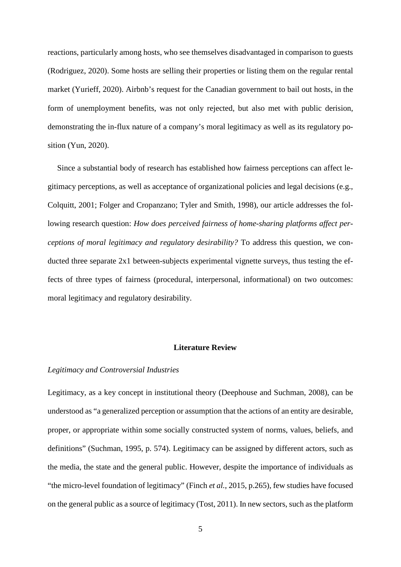reactions, particularly among hosts, who see themselves disadvantaged in comparison to guests (Rodriguez, 2020). Some hosts are selling their properties or listing them on the regular rental market (Yurieff, 2020). Airbnb's request for the Canadian government to bail out hosts, in the form of unemployment benefits, was not only rejected, but also met with public derision, demonstrating the in-flux nature of a company's moral legitimacy as well as its regulatory position (Yun, 2020).

Since a substantial body of research has established how fairness perceptions can affect legitimacy perceptions, as well as acceptance of organizational policies and legal decisions (e.g., Colquitt, 2001; Folger and Cropanzano; Tyler and Smith, 1998), our article addresses the following research question: *How does perceived fairness of home-sharing platforms affect perceptions of moral legitimacy and regulatory desirability?* To address this question, we conducted three separate 2x1 between-subjects experimental vignette surveys, thus testing the effects of three types of fairness (procedural, interpersonal, informational) on two outcomes: moral legitimacy and regulatory desirability.

#### **Literature Review**

### *Legitimacy and Controversial Industries*

Legitimacy, as a key concept in institutional theory (Deephouse and Suchman, 2008), can be understood as "a generalized perception or assumption that the actions of an entity are desirable, proper, or appropriate within some socially constructed system of norms, values, beliefs, and definitions" (Suchman, 1995, p. 574). Legitimacy can be assigned by different actors, such as the media, the state and the general public. However, despite the importance of individuals as "the micro-level foundation of legitimacy" (Finch *et al.*, 2015, p.265), few studies have focused on the general public as a source of legitimacy (Tost, 2011). In new sectors, such as the platform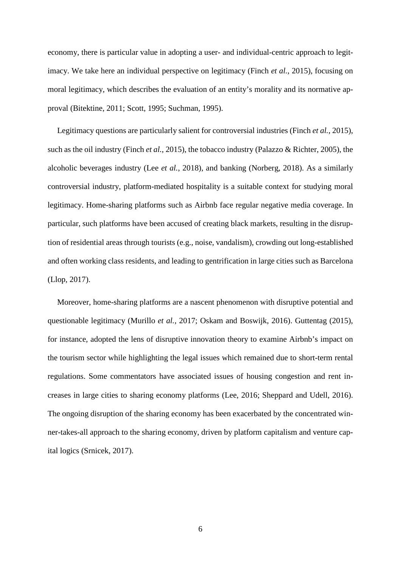economy, there is particular value in adopting a user- and individual-centric approach to legitimacy. We take here an individual perspective on legitimacy (Finch *et al.*, 2015), focusing on moral legitimacy, which describes the evaluation of an entity's morality and its normative approval (Bitektine, 2011; Scott, 1995; Suchman, 1995).

Legitimacy questions are particularly salient for controversial industries (Finch *et al.*, 2015), such as the oil industry (Finch *et al.*, 2015), the tobacco industry (Palazzo & Richter, 2005), the alcoholic beverages industry (Lee *et al.*, 2018), and banking (Norberg, 2018). As a similarly controversial industry, platform-mediated hospitality is a suitable context for studying moral legitimacy. Home-sharing platforms such as Airbnb face regular negative media coverage. In particular, such platforms have been accused of creating black markets, resulting in the disruption of residential areas through tourists (e.g., noise, vandalism), crowding out long-established and often working class residents, and leading to gentrification in large cities such as Barcelona (Llop, 2017).

Moreover, home-sharing platforms are a nascent phenomenon with disruptive potential and questionable legitimacy (Murillo *et al.*, 2017; Oskam and Boswijk, 2016). Guttentag (2015), for instance, adopted the lens of disruptive innovation theory to examine Airbnb's impact on the tourism sector while highlighting the legal issues which remained due to short-term rental regulations. Some commentators have associated issues of housing congestion and rent increases in large cities to sharing economy platforms (Lee, 2016; Sheppard and Udell, 2016). The ongoing disruption of the sharing economy has been exacerbated by the concentrated winner-takes-all approach to the sharing economy, driven by platform capitalism and venture capital logics (Srnicek, 2017).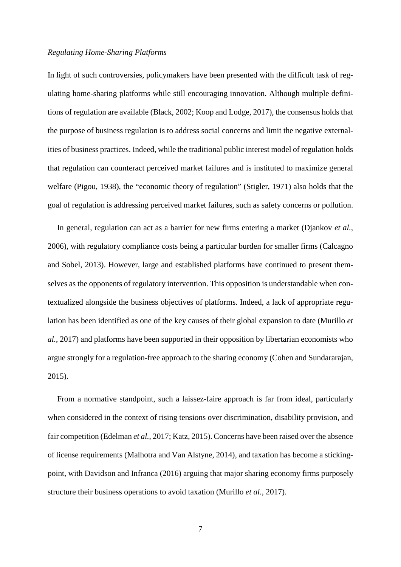## *Regulating Home-Sharing Platforms*

In light of such controversies, policymakers have been presented with the difficult task of regulating home-sharing platforms while still encouraging innovation. Although multiple definitions of regulation are available (Black, 2002; Koop and Lodge, 2017), the consensus holds that the purpose of business regulation is to address social concerns and limit the negative externalities of business practices. Indeed, while the traditional public interest model of regulation holds that regulation can counteract perceived market failures and is instituted to maximize general welfare (Pigou, 1938), the "economic theory of regulation" (Stigler, 1971) also holds that the goal of regulation is addressing perceived market failures, such as safety concerns or pollution.

In general, regulation can act as a barrier for new firms entering a market (Djankov *et al.*, 2006), with regulatory compliance costs being a particular burden for smaller firms (Calcagno and Sobel, 2013). However, large and established platforms have continued to present themselves as the opponents of regulatory intervention. This opposition is understandable when contextualized alongside the business objectives of platforms. Indeed, a lack of appropriate regulation has been identified as one of the key causes of their global expansion to date (Murillo *et al.*, 2017) and platforms have been supported in their opposition by libertarian economists who argue strongly for a regulation-free approach to the sharing economy (Cohen and Sundararajan, 2015).

From a normative standpoint, such a laissez-faire approach is far from ideal, particularly when considered in the context of rising tensions over discrimination, disability provision, and fair competition (Edelman *et al.*, 2017; Katz, 2015). Concerns have been raised over the absence of license requirements (Malhotra and Van Alstyne, 2014), and taxation has become a stickingpoint, with Davidson and Infranca (2016) arguing that major sharing economy firms purposely structure their business operations to avoid taxation (Murillo *et al.*, 2017).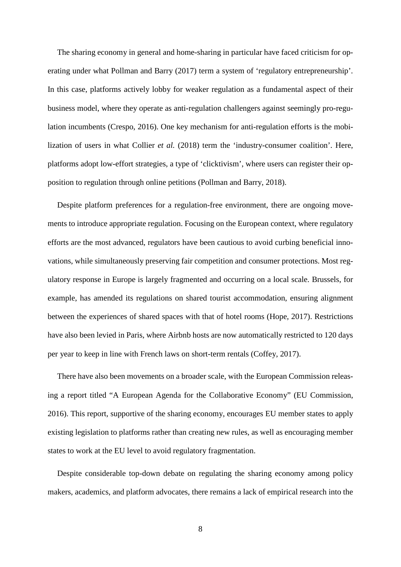The sharing economy in general and home-sharing in particular have faced criticism for operating under what Pollman and Barry (2017) term a system of 'regulatory entrepreneurship'. In this case, platforms actively lobby for weaker regulation as a fundamental aspect of their business model, where they operate as anti-regulation challengers against seemingly pro-regulation incumbents (Crespo, 2016). One key mechanism for anti-regulation efforts is the mobilization of users in what Collier *et al.* (2018) term the 'industry-consumer coalition'. Here, platforms adopt low-effort strategies, a type of 'clicktivism', where users can register their opposition to regulation through online petitions (Pollman and Barry, 2018).

Despite platform preferences for a regulation-free environment, there are ongoing movements to introduce appropriate regulation. Focusing on the European context, where regulatory efforts are the most advanced, regulators have been cautious to avoid curbing beneficial innovations, while simultaneously preserving fair competition and consumer protections. Most regulatory response in Europe is largely fragmented and occurring on a local scale. Brussels, for example, has amended its regulations on shared tourist accommodation, ensuring alignment between the experiences of shared spaces with that of hotel rooms (Hope, 2017). Restrictions have also been levied in Paris, where Airbnb hosts are now automatically restricted to 120 days per year to keep in line with French laws on short-term rentals (Coffey, 2017).

There have also been movements on a broader scale, with the European Commission releasing a report titled "A European Agenda for the Collaborative Economy" (EU Commission, 2016). This report, supportive of the sharing economy, encourages EU member states to apply existing legislation to platforms rather than creating new rules, as well as encouraging member states to work at the EU level to avoid regulatory fragmentation.

Despite considerable top-down debate on regulating the sharing economy among policy makers, academics, and platform advocates, there remains a lack of empirical research into the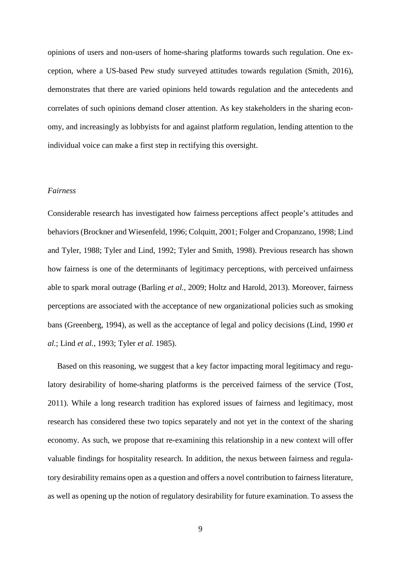opinions of users and non-users of home-sharing platforms towards such regulation. One exception, where a US-based Pew study surveyed attitudes towards regulation (Smith, 2016), demonstrates that there are varied opinions held towards regulation and the antecedents and correlates of such opinions demand closer attention. As key stakeholders in the sharing economy, and increasingly as lobbyists for and against platform regulation, lending attention to the individual voice can make a first step in rectifying this oversight.

## *Fairness*

Considerable research has investigated how fairness perceptions affect people's attitudes and behaviors (Brockner and Wiesenfeld, 1996; Colquitt, 2001; Folger and Cropanzano, 1998; Lind and Tyler, 1988; Tyler and Lind, 1992; Tyler and Smith, 1998). Previous research has shown how fairness is one of the determinants of legitimacy perceptions, with perceived unfairness able to spark moral outrage (Barling *et al.*, 2009; Holtz and Harold, 2013). Moreover, fairness perceptions are associated with the acceptance of new organizational policies such as smoking bans (Greenberg, 1994), as well as the acceptance of legal and policy decisions (Lind, 1990 *et al.*; Lind *et al.*, 1993; Tyler *et al.* 1985).

Based on this reasoning, we suggest that a key factor impacting moral legitimacy and regulatory desirability of home-sharing platforms is the perceived fairness of the service (Tost, 2011). While a long research tradition has explored issues of fairness and legitimacy, most research has considered these two topics separately and not yet in the context of the sharing economy. As such, we propose that re-examining this relationship in a new context will offer valuable findings for hospitality research. In addition, the nexus between fairness and regulatory desirability remains open as a question and offers a novel contribution to fairness literature, as well as opening up the notion of regulatory desirability for future examination. To assess the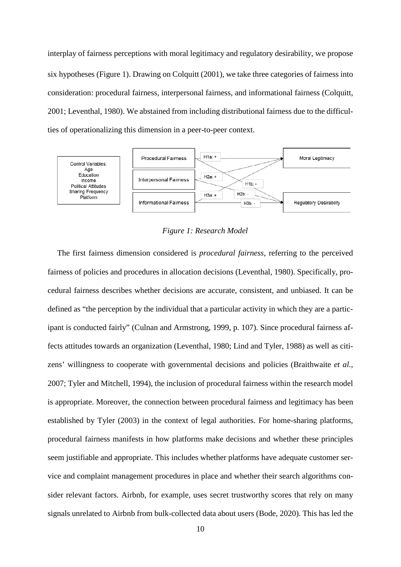interplay of fairness perceptions with moral legitimacy and regulatory desirability, we propose six hypotheses (Figure 1). Drawing on Colquitt (2001), we take three categories of fairness into consideration: procedural fairness, interpersonal fairness, and informational fairness (Colquitt, 2001; Leventhal, 1980). We abstained from including distributional fairness due to the difficulties of operationalizing this dimension in a peer-to-peer context.



*Figure 1: Research Model*

The first fairness dimension considered is *procedural fairness*, referring to the perceived fairness of policies and procedures in allocation decisions (Leventhal, 1980). Specifically, procedural fairness describes whether decisions are accurate, consistent, and unbiased. It can be defined as "the perception by the individual that a particular activity in which they are a participant is conducted fairly" (Culnan and Armstrong, 1999, p. 107). Since procedural fairness affects attitudes towards an organization (Leventhal, 1980; Lind and Tyler, 1988) as well as citizens' willingness to cooperate with governmental decisions and policies (Braithwaite *et al.*, 2007; Tyler and Mitchell, 1994), the inclusion of procedural fairness within the research model is appropriate. Moreover, the connection between procedural fairness and legitimacy has been established by Tyler (2003) in the context of legal authorities. For home-sharing platforms, procedural fairness manifests in how platforms make decisions and whether these principles seem justifiable and appropriate. This includes whether platforms have adequate customer service and complaint management procedures in place and whether their search algorithms consider relevant factors. Airbnb, for example, uses secret trustworthy scores that rely on many signals unrelated to Airbnb from bulk-collected data about users (Bode, 2020). This has led the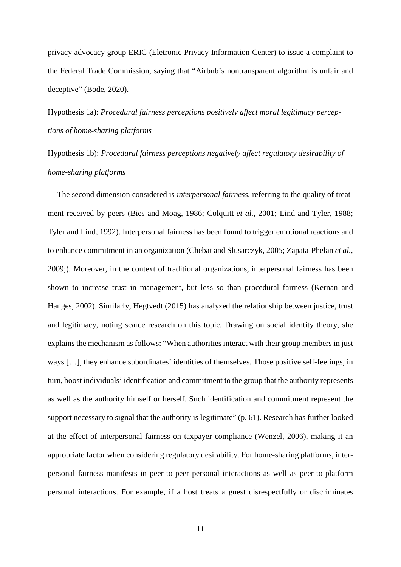privacy advocacy group ERIC (Eletronic Privacy Information Center) to issue a complaint to the Federal Trade Commission, saying that "Airbnb's nontransparent algorithm is unfair and deceptive" (Bode, 2020).

Hypothesis 1a): *Procedural fairness perceptions positively affect moral legitimacy perceptions of home-sharing platforms*

Hypothesis 1b): *Procedural fairness perceptions negatively affect regulatory desirability of home-sharing platforms*

The second dimension considered is *interpersonal fairness*, referring to the quality of treatment received by peers (Bies and Moag, 1986; Colquitt *et al.*, 2001; Lind and Tyler, 1988; Tyler and Lind, 1992). Interpersonal fairness has been found to trigger emotional reactions and to enhance commitment in an organization (Chebat and Slusarczyk, 2005; Zapata-Phelan *et al.*, 2009;). Moreover, in the context of traditional organizations, interpersonal fairness has been shown to increase trust in management, but less so than procedural fairness (Kernan and Hanges, 2002). Similarly, Hegtvedt (2015) has analyzed the relationship between justice, trust and legitimacy, noting scarce research on this topic. Drawing on social identity theory, she explains the mechanism as follows: "When authorities interact with their group members in just ways […], they enhance subordinates' identities of themselves. Those positive self-feelings, in turn, boost individuals' identification and commitment to the group that the authority represents as well as the authority himself or herself. Such identification and commitment represent the support necessary to signal that the authority is legitimate" (p. 61). Research has further looked at the effect of interpersonal fairness on taxpayer compliance (Wenzel, 2006), making it an appropriate factor when considering regulatory desirability. For home-sharing platforms, interpersonal fairness manifests in peer-to-peer personal interactions as well as peer-to-platform personal interactions. For example, if a host treats a guest disrespectfully or discriminates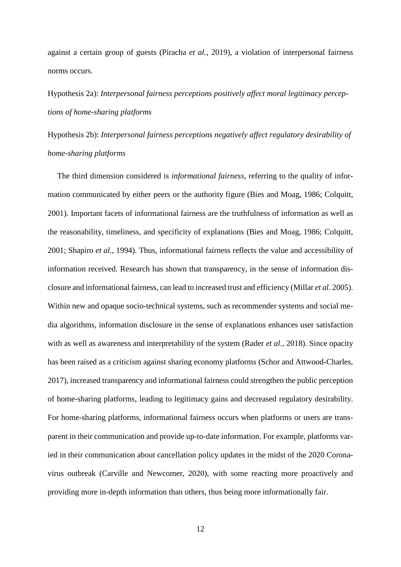against a certain group of guests (Piracha *et al.*, 2019), a violation of interpersonal fairness norms occurs.

# Hypothesis 2a): *Interpersonal fairness perceptions positively affect moral legitimacy perceptions of home-sharing platforms*

Hypothesis 2b): *Interpersonal fairness perceptions negatively affect regulatory desirability of home-sharing platforms*

The third dimension considered is *informational fairness*, referring to the quality of information communicated by either peers or the authority figure (Bies and Moag, 1986; Colquitt, 2001). Important facets of informational fairness are the truthfulness of information as well as the reasonability, timeliness, and specificity of explanations (Bies and Moag, 1986; Colquitt, 2001; Shapiro *et al.*, 1994). Thus, informational fairness reflects the value and accessibility of information received. Research has shown that transparency, in the sense of information disclosure and informational fairness, can lead to increased trust and efficiency (Millar *et al.* 2005). Within new and opaque socio-technical systems, such as recommender systems and social media algorithms, information disclosure in the sense of explanations enhances user satisfaction with as well as awareness and interpretability of the system (Rader *et al.*, 2018). Since opacity has been raised as a criticism against sharing economy platforms (Schor and Attwood-Charles, 2017), increased transparency and informational fairness could strengthen the public perception of home-sharing platforms, leading to legitimacy gains and decreased regulatory desirability. For home-sharing platforms, informational fairness occurs when platforms or users are transparent in their communication and provide up-to-date information. For example, platforms varied in their communication about cancellation policy updates in the midst of the 2020 Coronavirus outbreak (Carville and Newcomer, 2020), with some reacting more proactively and providing more in-depth information than others, thus being more informationally fair.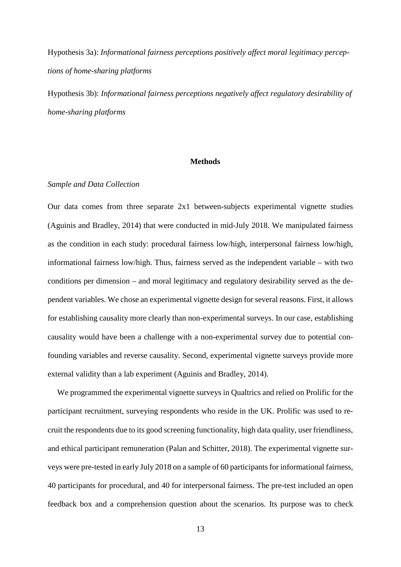Hypothesis 3a): *Informational fairness perceptions positively affect moral legitimacy perceptions of home-sharing platforms*

Hypothesis 3b): *Informational fairness perceptions negatively affect regulatory desirability of home-sharing platforms*

## **Methods**

## *Sample and Data Collection*

Our data comes from three separate 2x1 between-subjects experimental vignette studies (Aguinis and Bradley, 2014) that were conducted in mid-July 2018. We manipulated fairness as the condition in each study: procedural fairness low/high, interpersonal fairness low/high, informational fairness low/high. Thus, fairness served as the independent variable – with two conditions per dimension – and moral legitimacy and regulatory desirability served as the dependent variables. We chose an experimental vignette design for several reasons. First, it allows for establishing causality more clearly than non-experimental surveys. In our case, establishing causality would have been a challenge with a non-experimental survey due to potential confounding variables and reverse causality. Second, experimental vignette surveys provide more external validity than a lab experiment (Aguinis and Bradley, 2014).

We programmed the experimental vignette surveys in Qualtrics and relied on Prolific for the participant recruitment, surveying respondents who reside in the UK. Prolific was used to recruit the respondents due to its good screening functionality, high data quality, user friendliness, and ethical participant remuneration (Palan and Schitter, 2018). The experimental vignette surveys were pre-tested in early July 2018 on a sample of 60 participants for informational fairness, 40 participants for procedural, and 40 for interpersonal fairness. The pre-test included an open feedback box and a comprehension question about the scenarios. Its purpose was to check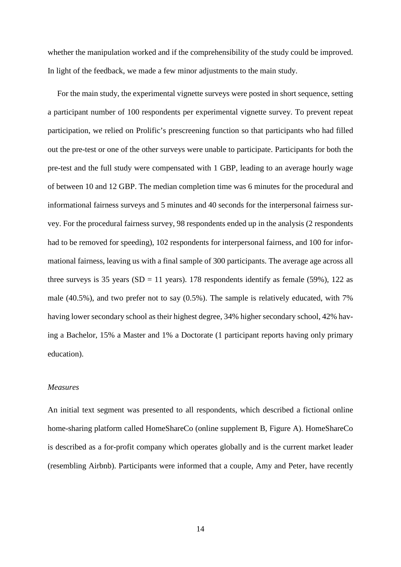whether the manipulation worked and if the comprehensibility of the study could be improved. In light of the feedback, we made a few minor adjustments to the main study.

For the main study, the experimental vignette surveys were posted in short sequence, setting a participant number of 100 respondents per experimental vignette survey. To prevent repeat participation, we relied on Prolific's prescreening function so that participants who had filled out the pre-test or one of the other surveys were unable to participate. Participants for both the pre-test and the full study were compensated with 1 GBP, leading to an average hourly wage of between 10 and 12 GBP. The median completion time was 6 minutes for the procedural and informational fairness surveys and 5 minutes and 40 seconds for the interpersonal fairness survey. For the procedural fairness survey, 98 respondents ended up in the analysis (2 respondents had to be removed for speeding), 102 respondents for interpersonal fairness, and 100 for informational fairness, leaving us with a final sample of 300 participants. The average age across all three surveys is 35 years (SD = 11 years). 178 respondents identify as female (59%), 122 as male (40.5%), and two prefer not to say (0.5%). The sample is relatively educated, with 7% having lower secondary school as their highest degree, 34% higher secondary school, 42% having a Bachelor, 15% a Master and 1% a Doctorate (1 participant reports having only primary education).

## *Measures*

An initial text segment was presented to all respondents, which described a fictional online home-sharing platform called HomeShareCo (online supplement B, Figure A). HomeShareCo is described as a for-profit company which operates globally and is the current market leader (resembling Airbnb). Participants were informed that a couple, Amy and Peter, have recently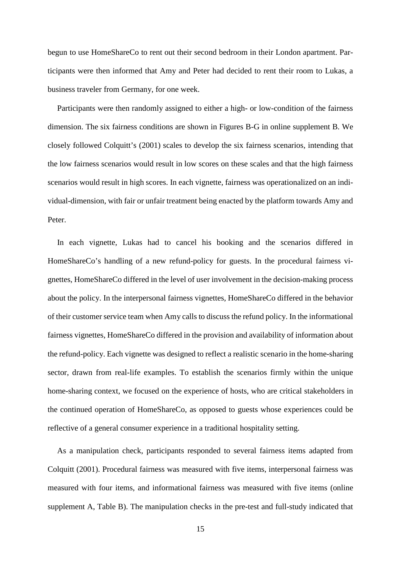begun to use HomeShareCo to rent out their second bedroom in their London apartment. Participants were then informed that Amy and Peter had decided to rent their room to Lukas, a business traveler from Germany, for one week.

Participants were then randomly assigned to either a high- or low-condition of the fairness dimension. The six fairness conditions are shown in Figures B-G in online supplement B. We closely followed Colquitt's (2001) scales to develop the six fairness scenarios, intending that the low fairness scenarios would result in low scores on these scales and that the high fairness scenarios would result in high scores. In each vignette, fairness was operationalized on an individual-dimension, with fair or unfair treatment being enacted by the platform towards Amy and Peter.

In each vignette, Lukas had to cancel his booking and the scenarios differed in HomeShareCo's handling of a new refund-policy for guests. In the procedural fairness vignettes, HomeShareCo differed in the level of user involvement in the decision-making process about the policy. In the interpersonal fairness vignettes, HomeShareCo differed in the behavior of their customer service team when Amy calls to discuss the refund policy. In the informational fairness vignettes, HomeShareCo differed in the provision and availability of information about the refund-policy. Each vignette was designed to reflect a realistic scenario in the home-sharing sector, drawn from real-life examples. To establish the scenarios firmly within the unique home-sharing context, we focused on the experience of hosts, who are critical stakeholders in the continued operation of HomeShareCo, as opposed to guests whose experiences could be reflective of a general consumer experience in a traditional hospitality setting.

As a manipulation check, participants responded to several fairness items adapted from Colquitt (2001). Procedural fairness was measured with five items, interpersonal fairness was measured with four items, and informational fairness was measured with five items (online supplement A, Table B). The manipulation checks in the pre-test and full-study indicated that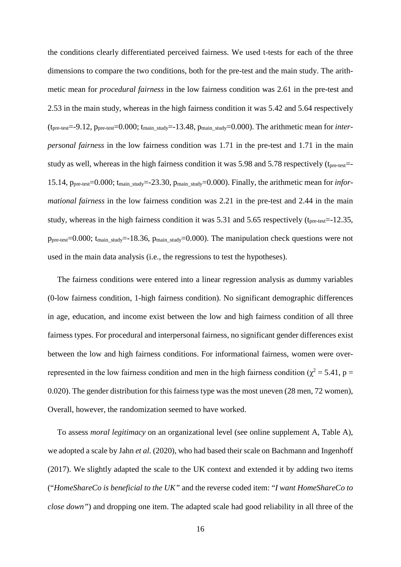the conditions clearly differentiated perceived fairness. We used t-tests for each of the three dimensions to compare the two conditions, both for the pre-test and the main study. The arithmetic mean for *procedural fairness* in the low fairness condition was 2.61 in the pre-test and 2.53 in the main study, whereas in the high fairness condition it was 5.42 and 5.64 respectively (tpre-test=-9.12, ppre-test=0.000; tmain\_study=-13.48, pmain\_study=0.000). The arithmetic mean for *interpersonal fairness* in the low fairness condition was 1.71 in the pre-test and 1.71 in the main study as well, whereas in the high fairness condition it was 5.98 and 5.78 respectively ( $t_{pre-test}$ = 15.14, ppre-test=0.000; tmain\_study=-23.30, pmain\_study=0.000). Finally, the arithmetic mean for *informational fairness* in the low fairness condition was 2.21 in the pre-test and 2.44 in the main study, whereas in the high fairness condition it was 5.31 and 5.65 respectively (t<sub>pre-test</sub>=-12.35,  $p_{pre-test}=0.000$ ;  $t_{main\_study}=18.36$ ,  $p_{main\_study}=0.000$ . The manipulation check questions were not used in the main data analysis (i.e., the regressions to test the hypotheses).

The fairness conditions were entered into a linear regression analysis as dummy variables (0-low fairness condition, 1-high fairness condition). No significant demographic differences in age, education, and income exist between the low and high fairness condition of all three fairness types. For procedural and interpersonal fairness, no significant gender differences exist between the low and high fairness conditions. For informational fairness, women were overrepresented in the low fairness condition and men in the high fairness condition ( $\chi^2$  = 5.41, p = 0.020). The gender distribution for this fairness type was the most uneven (28 men, 72 women), Overall, however, the randomization seemed to have worked.

To assess *moral legitimacy* on an organizational level (see online supplement A, Table A), we adopted a scale by Jahn *et al.* (2020), who had based their scale on Bachmann and Ingenhoff (2017). We slightly adapted the scale to the UK context and extended it by adding two items ("*HomeShareCo is beneficial to the UK"* and the reverse coded item: "*I want HomeShareCo to close down"*) and dropping one item. The adapted scale had good reliability in all three of the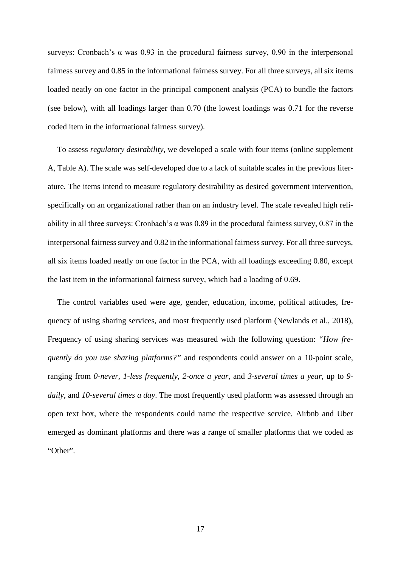surveys: Cronbach's α was 0.93 in the procedural fairness survey, 0.90 in the interpersonal fairness survey and 0.85 in the informational fairness survey. For all three surveys, all six items loaded neatly on one factor in the principal component analysis (PCA) to bundle the factors (see below), with all loadings larger than 0.70 (the lowest loadings was 0.71 for the reverse coded item in the informational fairness survey).

To assess *regulatory desirability*, we developed a scale with four items (online supplement A, Table A). The scale was self-developed due to a lack of suitable scales in the previous literature. The items intend to measure regulatory desirability as desired government intervention, specifically on an organizational rather than on an industry level. The scale revealed high reliability in all three surveys: Cronbach's  $\alpha$  was 0.89 in the procedural fairness survey, 0.87 in the interpersonal fairness survey and 0.82 in the informational fairness survey. For all three surveys, all six items loaded neatly on one factor in the PCA, with all loadings exceeding 0.80, except the last item in the informational fairness survey, which had a loading of 0.69.

The control variables used were age, gender, education, income, political attitudes, frequency of using sharing services, and most frequently used platform (Newlands et al., 2018), Frequency of using sharing services was measured with the following question: *"How frequently do you use sharing platforms?"* and respondents could answer on a 10-point scale, ranging from *0-never, 1-less frequently*, *2-once a year*, and *3-several times a year*, up to *9 daily*, and *10-several times a day*. The most frequently used platform was assessed through an open text box, where the respondents could name the respective service. Airbnb and Uber emerged as dominant platforms and there was a range of smaller platforms that we coded as "Other".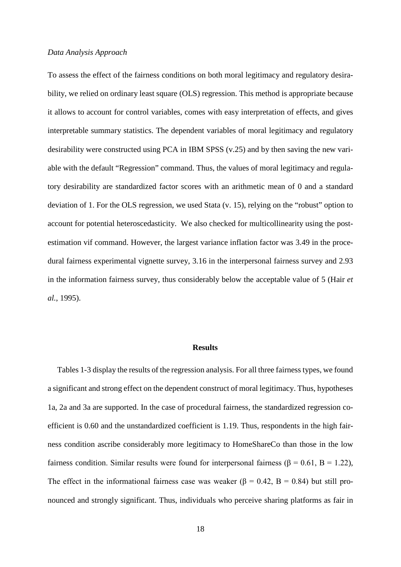#### *Data Analysis Approach*

To assess the effect of the fairness conditions on both moral legitimacy and regulatory desirability, we relied on ordinary least square (OLS) regression. This method is appropriate because it allows to account for control variables, comes with easy interpretation of effects, and gives interpretable summary statistics. The dependent variables of moral legitimacy and regulatory desirability were constructed using PCA in IBM SPSS (v.25) and by then saving the new variable with the default "Regression" command. Thus, the values of moral legitimacy and regulatory desirability are standardized factor scores with an arithmetic mean of 0 and a standard deviation of 1. For the OLS regression, we used Stata (v. 15), relying on the "robust" option to account for potential heteroscedasticity. We also checked for multicollinearity using the postestimation vif command. However, the largest variance inflation factor was 3.49 in the procedural fairness experimental vignette survey, 3.16 in the interpersonal fairness survey and 2.93 in the information fairness survey, thus considerably below the acceptable value of 5 (Hair *et al.*, 1995).

## **Results**

Tables 1-3 display the results of the regression analysis. For all three fairness types, we found a significant and strong effect on the dependent construct of moral legitimacy. Thus, hypotheses 1a, 2a and 3a are supported. In the case of procedural fairness, the standardized regression coefficient is 0.60 and the unstandardized coefficient is 1.19. Thus, respondents in the high fairness condition ascribe considerably more legitimacy to HomeShareCo than those in the low fairness condition. Similar results were found for interpersonal fairness (β = 0.61, B = 1.22), The effect in the informational fairness case was weaker ( $\beta$  = 0.42, B = 0.84) but still pronounced and strongly significant. Thus, individuals who perceive sharing platforms as fair in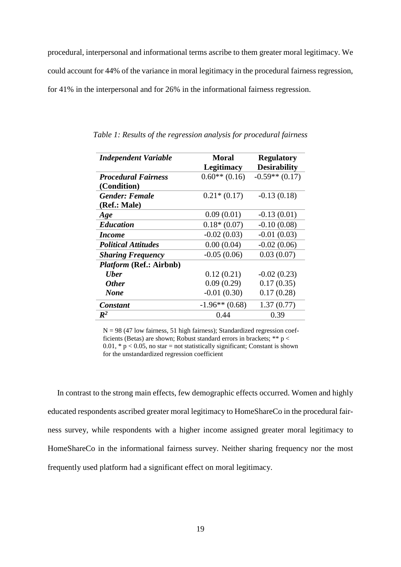procedural, interpersonal and informational terms ascribe to them greater moral legitimacy. We could account for 44% of the variance in moral legitimacy in the procedural fairness regression, for 41% in the interpersonal and for 26% in the informational fairness regression.

| <b>Independent Variable</b>    | <b>Moral</b>      | <b>Regulatory</b>   |
|--------------------------------|-------------------|---------------------|
|                                | <b>Legitimacy</b> | <b>Desirability</b> |
| <b>Procedural Fairness</b>     | $0.60**$ (0.16)   | $-0.59**$ (0.17)    |
| (Condition)                    |                   |                     |
| <b>Gender: Female</b>          | $0.21*(0.17)$     | $-0.13(0.18)$       |
| (Ref.: Male)                   |                   |                     |
| Age                            | 0.09(0.01)        | $-0.13(0.01)$       |
| <b>Education</b>               | $0.18*(0.07)$     | $-0.10(0.08)$       |
| <i>Income</i>                  | $-0.02(0.03)$     | $-0.01(0.03)$       |
| <b>Political Attitudes</b>     | 0.00(0.04)        | $-0.02(0.06)$       |
| <b>Sharing Frequency</b>       | $-0.05(0.06)$     | 0.03(0.07)          |
| <i>Platform</i> (Ref.: Airbnb) |                   |                     |
| <b>Uber</b>                    | 0.12(0.21)        | $-0.02(0.23)$       |
| <b>Other</b>                   | 0.09(0.29)        | 0.17(0.35)          |
| <b>None</b>                    | $-0.01(0.30)$     | 0.17(0.28)          |
| <b>Constant</b>                | $-1.96**$ (0.68)  | 1.37(0.77)          |
| $\mathbb{R}^2$                 | 0.44              | 0.39                |

*Table 1: Results of the regression analysis for procedural fairness*

 $N = 98$  (47 low fairness, 51 high fairness); Standardized regression coefficients (Betas) are shown; Robust standard errors in brackets;  $** p <$ 0.01,  $* p < 0.05$ , no star = not statistically significant; Constant is shown for the unstandardized regression coefficient

In contrast to the strong main effects, few demographic effects occurred. Women and highly educated respondents ascribed greater moral legitimacy to HomeShareCo in the procedural fairness survey, while respondents with a higher income assigned greater moral legitimacy to HomeShareCo in the informational fairness survey. Neither sharing frequency nor the most frequently used platform had a significant effect on moral legitimacy.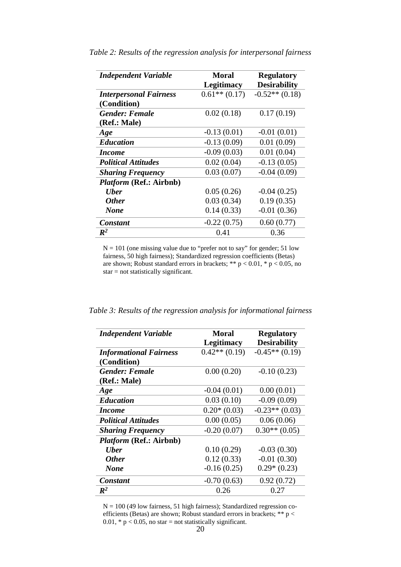| <b>Independent Variable</b>    | Moral<br><b>Legitimacy</b> | <b>Regulatory</b><br><b>Desirability</b> |
|--------------------------------|----------------------------|------------------------------------------|
| <b>Interpersonal Fairness</b>  | $0.61**$ (0.17)            | $-0.52**$ (0.18)                         |
| (Condition)                    |                            |                                          |
| <b>Gender: Female</b>          | 0.02(0.18)                 | 0.17(0.19)                               |
| (Ref.: Male)                   |                            |                                          |
| Age                            | $-0.13(0.01)$              | $-0.01(0.01)$                            |
| <b>Education</b>               | $-0.13(0.09)$              | 0.01(0.09)                               |
| <i>Income</i>                  | $-0.09(0.03)$              | 0.01(0.04)                               |
| <b>Political Attitudes</b>     | 0.02(0.04)                 | $-0.13(0.05)$                            |
| <b>Sharing Frequency</b>       | 0.03(0.07)                 | $-0.04(0.09)$                            |
| <i>Platform</i> (Ref.: Airbnb) |                            |                                          |
| <b>U</b> ber                   | 0.05(0.26)                 | $-0.04(0.25)$                            |
| <b>Other</b>                   | 0.03(0.34)                 | 0.19(0.35)                               |
| <b>None</b>                    | 0.14(0.33)                 | $-0.01(0.36)$                            |
| Constant                       | $-0.22(0.75)$              | 0.60(0.77)                               |
| $\mathbb{R}^2$                 | 0.41                       | 0.36                                     |

*Table 2: Results of the regression analysis for interpersonal fairness*

 $N = 101$  (one missing value due to "prefer not to say" for gender; 51 low fairness, 50 high fairness); Standardized regression coefficients (Betas) are shown; Robust standard errors in brackets; \*\*  $p < 0.01$ , \*  $p < 0.05$ , no star = not statistically significant.

| Table 3: Results of the regression analysis for informational fairness |  |
|------------------------------------------------------------------------|--|
|------------------------------------------------------------------------|--|

| <b>Independent Variable</b>   | Moral             | <b>Regulatory</b>   |
|-------------------------------|-------------------|---------------------|
|                               | <b>Legitimacy</b> | <b>Desirability</b> |
| <b>Informational Fairness</b> | $0.42**$ (0.19)   | $-0.45**$ (0.19)    |
| (Condition)                   |                   |                     |
| <b>Gender: Female</b>         | 0.00(0.20)        | $-0.10(0.23)$       |
| (Ref.: Male)                  |                   |                     |
| Age                           | $-0.04(0.01)$     | 0.00(0.01)          |
| <b>Education</b>              | 0.03(0.10)        | $-0.09(0.09)$       |
| <i>Income</i>                 | $0.20*(0.03)$     | $-0.23**$ (0.03)    |
| <b>Political Attitudes</b>    | 0.00(0.05)        | 0.06(0.06)          |
| <b>Sharing Frequency</b>      | $-0.20(0.07)$     | $0.30**$ (0.05)     |
| Platform (Ref.: Airbnb)       |                   |                     |
| <b>Uber</b>                   | 0.10(0.29)        | $-0.03(0.30)$       |
| <b>Other</b>                  | 0.12(0.33)        | $-0.01(0.30)$       |
| <b>None</b>                   | $-0.16(0.25)$     | $0.29*(0.23)$       |
| <b>Constant</b>               | $-0.70(0.63)$     | 0.92(0.72)          |
| $\mathbb{R}^2$                | 0.26              | 0.27                |

 $N = 100$  (49 low fairness, 51 high fairness); Standardized regression coefficients (Betas) are shown; Robust standard errors in brackets; \*\* p < 0.01,  $* p < 0.05$ , no star = not statistically significant.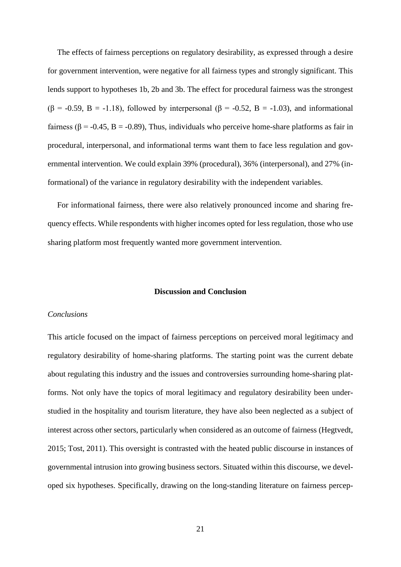The effects of fairness perceptions on regulatory desirability, as expressed through a desire for government intervention, were negative for all fairness types and strongly significant. This lends support to hypotheses 1b, 2b and 3b. The effect for procedural fairness was the strongest ( $\beta$  = -0.59, B = -1.18), followed by interpersonal ( $\beta$  = -0.52, B = -1.03), and informational fairness ( $\beta$  = -0.45, B = -0.89), Thus, individuals who perceive home-share platforms as fair in procedural, interpersonal, and informational terms want them to face less regulation and governmental intervention. We could explain 39% (procedural), 36% (interpersonal), and 27% (informational) of the variance in regulatory desirability with the independent variables.

For informational fairness, there were also relatively pronounced income and sharing frequency effects. While respondents with higher incomes opted for less regulation, those who use sharing platform most frequently wanted more government intervention.

# **Discussion and Conclusion**

#### *Conclusions*

This article focused on the impact of fairness perceptions on perceived moral legitimacy and regulatory desirability of home-sharing platforms. The starting point was the current debate about regulating this industry and the issues and controversies surrounding home-sharing platforms. Not only have the topics of moral legitimacy and regulatory desirability been understudied in the hospitality and tourism literature, they have also been neglected as a subject of interest across other sectors, particularly when considered as an outcome of fairness (Hegtvedt, 2015; Tost, 2011). This oversight is contrasted with the heated public discourse in instances of governmental intrusion into growing business sectors. Situated within this discourse, we developed six hypotheses. Specifically, drawing on the long-standing literature on fairness percep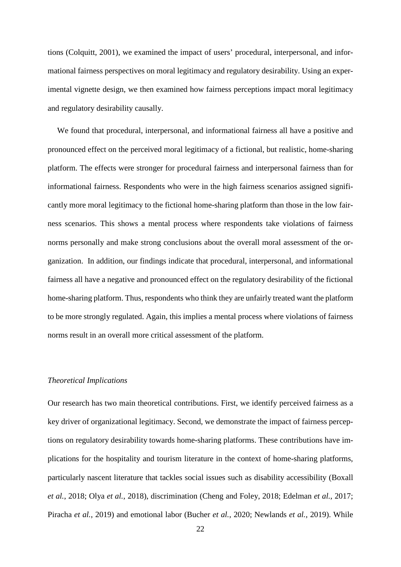tions (Colquitt, 2001), we examined the impact of users' procedural, interpersonal, and informational fairness perspectives on moral legitimacy and regulatory desirability. Using an experimental vignette design, we then examined how fairness perceptions impact moral legitimacy and regulatory desirability causally.

We found that procedural, interpersonal, and informational fairness all have a positive and pronounced effect on the perceived moral legitimacy of a fictional, but realistic, home-sharing platform. The effects were stronger for procedural fairness and interpersonal fairness than for informational fairness. Respondents who were in the high fairness scenarios assigned significantly more moral legitimacy to the fictional home-sharing platform than those in the low fairness scenarios. This shows a mental process where respondents take violations of fairness norms personally and make strong conclusions about the overall moral assessment of the organization. In addition, our findings indicate that procedural, interpersonal, and informational fairness all have a negative and pronounced effect on the regulatory desirability of the fictional home-sharing platform. Thus, respondents who think they are unfairly treated want the platform to be more strongly regulated. Again, this implies a mental process where violations of fairness norms result in an overall more critical assessment of the platform.

## *Theoretical Implications*

Our research has two main theoretical contributions. First, we identify perceived fairness as a key driver of organizational legitimacy. Second, we demonstrate the impact of fairness perceptions on regulatory desirability towards home-sharing platforms. These contributions have implications for the hospitality and tourism literature in the context of home-sharing platforms, particularly nascent literature that tackles social issues such as disability accessibility (Boxall *et al.*, 2018; Olya *et al.*, 2018), discrimination (Cheng and Foley, 2018; Edelman *et al.*, 2017; Piracha *et al.*, 2019) and emotional labor (Bucher *et al.*, 2020; Newlands *et al.*, 2019). While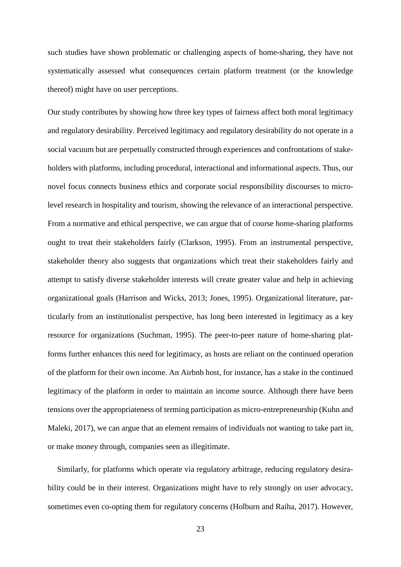such studies have shown problematic or challenging aspects of home-sharing, they have not systematically assessed what consequences certain platform treatment (or the knowledge thereof) might have on user perceptions.

Our study contributes by showing how three key types of fairness affect both moral legitimacy and regulatory desirability. Perceived legitimacy and regulatory desirability do not operate in a social vacuum but are perpetually constructed through experiences and confrontations of stakeholders with platforms, including procedural, interactional and informational aspects. Thus, our novel focus connects business ethics and corporate social responsibility discourses to microlevel research in hospitality and tourism, showing the relevance of an interactional perspective. From a normative and ethical perspective, we can argue that of course home-sharing platforms ought to treat their stakeholders fairly (Clarkson, 1995). From an instrumental perspective, stakeholder theory also suggests that organizations which treat their stakeholders fairly and attempt to satisfy diverse stakeholder interests will create greater value and help in achieving organizational goals (Harrison and Wicks, 2013; Jones, 1995). Organizational literature, particularly from an institutionalist perspective, has long been interested in legitimacy as a key resource for organizations (Suchman, 1995). The peer-to-peer nature of home-sharing platforms further enhances this need for legitimacy, as hosts are reliant on the continued operation of the platform for their own income. An Airbnb host, for instance, has a stake in the continued legitimacy of the platform in order to maintain an income source. Although there have been tensions over the appropriateness of terming participation as micro-entrepreneurship (Kuhn and Maleki, 2017), we can argue that an element remains of individuals not wanting to take part in, or make money through, companies seen as illegitimate.

Similarly, for platforms which operate via regulatory arbitrage, reducing regulatory desirability could be in their interest. Organizations might have to rely strongly on user advocacy, sometimes even co-opting them for regulatory concerns (Holburn and Raiha, 2017). However,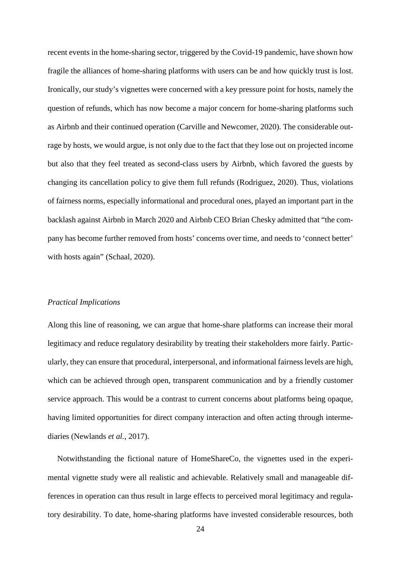recent events in the home-sharing sector, triggered by the Covid-19 pandemic, have shown how fragile the alliances of home-sharing platforms with users can be and how quickly trust is lost. Ironically, our study's vignettes were concerned with a key pressure point for hosts, namely the question of refunds, which has now become a major concern for home-sharing platforms such as Airbnb and their continued operation (Carville and Newcomer, 2020). The considerable outrage by hosts, we would argue, is not only due to the fact that they lose out on projected income but also that they feel treated as second-class users by Airbnb, which favored the guests by changing its cancellation policy to give them full refunds (Rodriguez, 2020). Thus, violations of fairness norms, especially informational and procedural ones, played an important part in the backlash against Airbnb in March 2020 and Airbnb CEO Brian Chesky admitted that "the company has become further removed from hosts' concerns over time, and needs to 'connect better' with hosts again" (Schaal, 2020).

#### *Practical Implications*

Along this line of reasoning, we can argue that home-share platforms can increase their moral legitimacy and reduce regulatory desirability by treating their stakeholders more fairly. Particularly, they can ensure that procedural, interpersonal, and informational fairness levels are high, which can be achieved through open, transparent communication and by a friendly customer service approach. This would be a contrast to current concerns about platforms being opaque, having limited opportunities for direct company interaction and often acting through intermediaries (Newlands *et al.*, 2017).

Notwithstanding the fictional nature of HomeShareCo, the vignettes used in the experimental vignette study were all realistic and achievable. Relatively small and manageable differences in operation can thus result in large effects to perceived moral legitimacy and regulatory desirability. To date, home-sharing platforms have invested considerable resources, both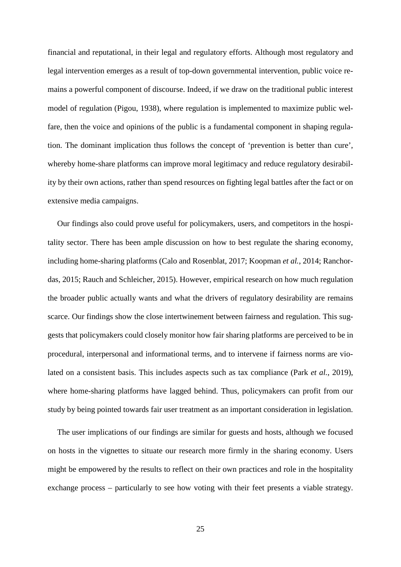financial and reputational, in their legal and regulatory efforts. Although most regulatory and legal intervention emerges as a result of top-down governmental intervention, public voice remains a powerful component of discourse. Indeed, if we draw on the traditional public interest model of regulation (Pigou, 1938), where regulation is implemented to maximize public welfare, then the voice and opinions of the public is a fundamental component in shaping regulation. The dominant implication thus follows the concept of 'prevention is better than cure', whereby home-share platforms can improve moral legitimacy and reduce regulatory desirability by their own actions, rather than spend resources on fighting legal battles after the fact or on extensive media campaigns.

Our findings also could prove useful for policymakers, users, and competitors in the hospitality sector. There has been ample discussion on how to best regulate the sharing economy, including home-sharing platforms (Calo and Rosenblat, 2017; Koopman *et al.*, 2014; Ranchordas, 2015; Rauch and Schleicher, 2015). However, empirical research on how much regulation the broader public actually wants and what the drivers of regulatory desirability are remains scarce. Our findings show the close intertwinement between fairness and regulation. This suggests that policymakers could closely monitor how fair sharing platforms are perceived to be in procedural, interpersonal and informational terms, and to intervene if fairness norms are violated on a consistent basis. This includes aspects such as tax compliance (Park *et al.*, 2019), where home-sharing platforms have lagged behind. Thus, policymakers can profit from our study by being pointed towards fair user treatment as an important consideration in legislation.

The user implications of our findings are similar for guests and hosts, although we focused on hosts in the vignettes to situate our research more firmly in the sharing economy. Users might be empowered by the results to reflect on their own practices and role in the hospitality exchange process – particularly to see how voting with their feet presents a viable strategy.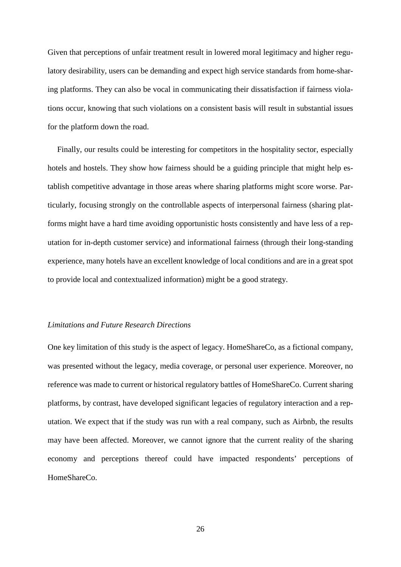Given that perceptions of unfair treatment result in lowered moral legitimacy and higher regulatory desirability, users can be demanding and expect high service standards from home-sharing platforms. They can also be vocal in communicating their dissatisfaction if fairness violations occur, knowing that such violations on a consistent basis will result in substantial issues for the platform down the road.

Finally, our results could be interesting for competitors in the hospitality sector, especially hotels and hostels. They show how fairness should be a guiding principle that might help establish competitive advantage in those areas where sharing platforms might score worse. Particularly, focusing strongly on the controllable aspects of interpersonal fairness (sharing platforms might have a hard time avoiding opportunistic hosts consistently and have less of a reputation for in-depth customer service) and informational fairness (through their long-standing experience, many hotels have an excellent knowledge of local conditions and are in a great spot to provide local and contextualized information) might be a good strategy.

#### *Limitations and Future Research Directions*

One key limitation of this study is the aspect of legacy. HomeShareCo, as a fictional company, was presented without the legacy, media coverage, or personal user experience. Moreover, no reference was made to current or historical regulatory battles of HomeShareCo. Current sharing platforms, by contrast, have developed significant legacies of regulatory interaction and a reputation. We expect that if the study was run with a real company, such as Airbnb, the results may have been affected. Moreover, we cannot ignore that the current reality of the sharing economy and perceptions thereof could have impacted respondents' perceptions of HomeShareCo.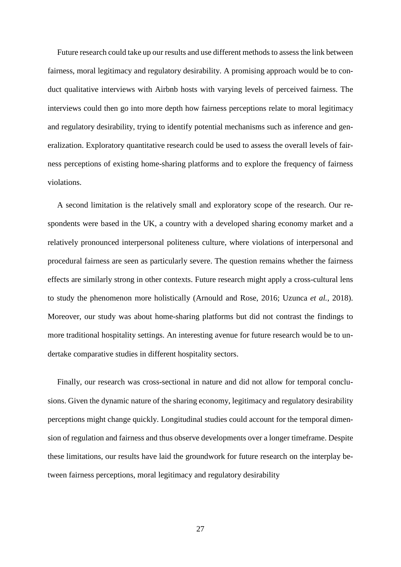Future research could take up our results and use different methods to assess the link between fairness, moral legitimacy and regulatory desirability. A promising approach would be to conduct qualitative interviews with Airbnb hosts with varying levels of perceived fairness. The interviews could then go into more depth how fairness perceptions relate to moral legitimacy and regulatory desirability, trying to identify potential mechanisms such as inference and generalization. Exploratory quantitative research could be used to assess the overall levels of fairness perceptions of existing home-sharing platforms and to explore the frequency of fairness violations.

A second limitation is the relatively small and exploratory scope of the research. Our respondents were based in the UK, a country with a developed sharing economy market and a relatively pronounced interpersonal politeness culture, where violations of interpersonal and procedural fairness are seen as particularly severe. The question remains whether the fairness effects are similarly strong in other contexts. Future research might apply a cross-cultural lens to study the phenomenon more holistically (Arnould and Rose, 2016; Uzunca *et al.*, 2018). Moreover, our study was about home-sharing platforms but did not contrast the findings to more traditional hospitality settings. An interesting avenue for future research would be to undertake comparative studies in different hospitality sectors.

Finally, our research was cross-sectional in nature and did not allow for temporal conclusions. Given the dynamic nature of the sharing economy, legitimacy and regulatory desirability perceptions might change quickly. Longitudinal studies could account for the temporal dimension of regulation and fairness and thus observe developments over a longer timeframe. Despite these limitations, our results have laid the groundwork for future research on the interplay between fairness perceptions, moral legitimacy and regulatory desirability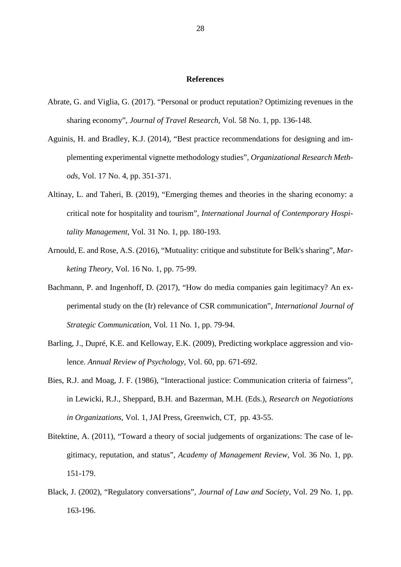#### **References**

- Abrate, G. and Viglia, G. (2017). "Personal or product reputation? Optimizing revenues in the sharing economy", *Journal of Travel Research,* Vol. 58 No. 1, pp. 136-148.
- Aguinis, H. and Bradley, K.J. (2014), "Best practice recommendations for designing and implementing experimental vignette methodology studies", *Organizational Research Methods*, Vol. 17 No. 4, pp. 351-371.
- Altinay, L. and Taheri, B. (2019), "Emerging themes and theories in the sharing economy: a critical note for hospitality and tourism", *International Journal of Contemporary Hospitality Management*, Vol. 31 No. 1, pp. 180-193.
- Arnould, E. and Rose, A.S. (2016), "Mutuality: critique and substitute for Belk's sharing", *Marketing Theory*, Vol. 16 No. 1, pp. 75-99.
- Bachmann, P. and Ingenhoff, D. (2017), "How do media companies gain legitimacy? An experimental study on the (Ir) relevance of CSR communication", *International Journal of Strategic Communication*, Vol. 11 No. 1, pp. 79-94.
- Barling, J., Dupré, K.E. and Kelloway, E.K. (2009), Predicting workplace aggression and violence. *Annual Review of Psychology*, Vol. 60, pp. 671-692.
- Bies, R.J. and Moag, J. F. (1986), "Interactional justice: Communication criteria of fairness", in Lewicki, R.J., Sheppard, B.H. and Bazerman, M.H. (Eds.), *Research on Negotiations in Organizations*, Vol. 1, JAI Press, Greenwich, CT, pp. 43-55.
- Bitektine, A. (2011), "Toward a theory of social judgements of organizations: The case of legitimacy, reputation, and status", *Academy of Management Review*, Vol. 36 No. 1, pp. 151-179.
- Black, J. (2002), "Regulatory conversations", *Journal of Law and Society*, Vol. 29 No. 1, pp. 163-196.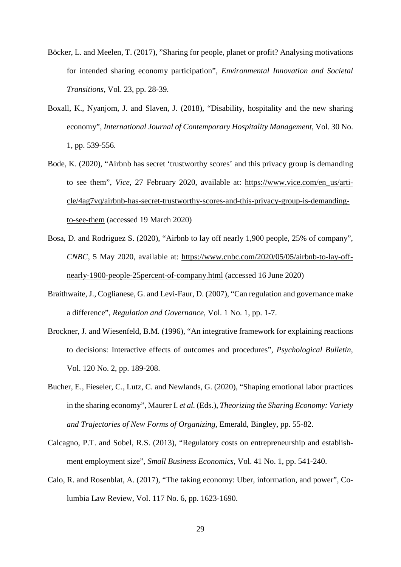- Böcker, L. and Meelen, T. (2017), "Sharing for people, planet or profit? Analysing motivations for intended sharing economy participation", *Environmental Innovation and Societal Transitions*, Vol. 23, pp. 28-39.
- Boxall, K., Nyanjom, J. and Slaven, J. (2018), "Disability, hospitality and the new sharing economy", *International Journal of Contemporary Hospitality Management*, Vol. 30 No. 1, pp. 539-556.
- Bode, K. (2020), "Airbnb has secret 'trustworthy scores' and this privacy group is demanding to see them", *Vice*, 27 February 2020, available at: [https://www.vice.com/en\\_us/arti](https://www.vice.com/en_us/article/4ag7vq/airbnb-has-secret-trustworthy-scores-and-this-privacy-group-is-demanding-to-see-them)[cle/4ag7vq/airbnb-has-secret-trustworthy-scores-and-this-privacy-group-is-demanding](https://www.vice.com/en_us/article/4ag7vq/airbnb-has-secret-trustworthy-scores-and-this-privacy-group-is-demanding-to-see-them)[to-see-them](https://www.vice.com/en_us/article/4ag7vq/airbnb-has-secret-trustworthy-scores-and-this-privacy-group-is-demanding-to-see-them) (accessed 19 March 2020)
- Bosa, D. and Rodriguez S. (2020), "Airbnb to lay off nearly 1,900 people, 25% of company", *CNBC*, 5 May 2020, available at: [https://www.cnbc.com/2020/05/05/airbnb-to-lay-off](https://www.cnbc.com/2020/05/05/airbnb-to-lay-off-nearly-1900-people-25percent-of-company.html)[nearly-1900-people-25percent-of-company.html](https://www.cnbc.com/2020/05/05/airbnb-to-lay-off-nearly-1900-people-25percent-of-company.html) (accessed 16 June 2020)
- Braithwaite, J., Coglianese, G. and Levi-Faur, D. (2007), "Can regulation and governance make a difference", *Regulation and Governance*, Vol. 1 No. 1, pp. 1-7.
- Brockner, J. and Wiesenfeld, B.M. (1996), "An integrative framework for explaining reactions to decisions: Interactive effects of outcomes and procedures", *Psychological Bulletin*, Vol. 120 No. 2, pp. 189-208.
- Bucher, E., Fieseler, C., Lutz, C. and Newlands, G. (2020), "Shaping emotional labor practices in the sharing economy", Maurer I. *et al.* (Eds.), *Theorizing the Sharing Economy: Variety and Trajectories of New Forms of Organizing*, Emerald, Bingley, pp. 55-82.
- Calcagno, P.T. and Sobel, R.S. (2013), "Regulatory costs on entrepreneurship and establishment employment size", *Small Business Economics*, Vol. 41 No. 1, pp. 541-240.
- Calo, R. and Rosenblat, A. (2017), "The taking economy: Uber, information, and power", Columbia Law Review, Vol. 117 No. 6, pp. 1623-1690.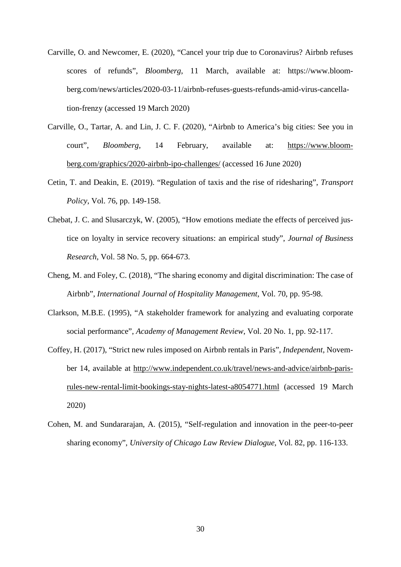- Carville, O. and Newcomer, E. (2020), "Cancel your trip due to Coronavirus? Airbnb refuses scores of refunds", *Bloomberg*, 11 March, available at: https://www.bloomberg.com/news/articles/2020-03-11/airbnb-refuses-guests-refunds-amid-virus-cancellation-frenzy (accessed 19 March 2020)
- Carville, O., Tartar, A. and Lin, J. C. F. (2020), "Airbnb to America's big cities: See you in court", *Bloomberg*, 14 February, available at: [https://www.bloom](https://www.bloomberg.com/graphics/2020-airbnb-ipo-challenges/)[berg.com/graphics/2020-airbnb-ipo-challenges/](https://www.bloomberg.com/graphics/2020-airbnb-ipo-challenges/) (accessed 16 June 2020)
- Cetin, T. and Deakin, E. (2019). "Regulation of taxis and the rise of ridesharing", *Transport Policy*, Vol. 76, pp. 149-158.
- Chebat, J. C. and Slusarczyk, W. (2005), "How emotions mediate the effects of perceived justice on loyalty in service recovery situations: an empirical study", *Journal of Business Research*, Vol. 58 No. 5, pp. 664-673.
- Cheng, M. and Foley, C. (2018), "The sharing economy and digital discrimination: The case of Airbnb", *International Journal of Hospitality Management*, Vol. 70, pp. 95-98.
- Clarkson, M.B.E. (1995), "A stakeholder framework for analyzing and evaluating corporate social performance", *Academy of Management Review*, Vol. 20 No. 1, pp. 92-117.
- Coffey, H. (2017), "Strict new rules imposed on Airbnb rentals in Paris", *Independent*, November 14, available at [http://www.independent.co.uk/travel/news-and-advice/airbnb-paris](http://www.independent.co.uk/travel/news-and-advice/airbnb-paris-rules-new-rental-limit-bookings-stay-nights-latest-a8054771.html)[rules-new-rental-limit-bookings-stay-nights-latest-a8054771.html](http://www.independent.co.uk/travel/news-and-advice/airbnb-paris-rules-new-rental-limit-bookings-stay-nights-latest-a8054771.html) (accessed 19 March 2020)
- Cohen, M. and Sundararajan, A. (2015), "Self-regulation and innovation in the peer-to-peer sharing economy", *University of Chicago Law Review Dialogue*, Vol. 82, pp. 116-133.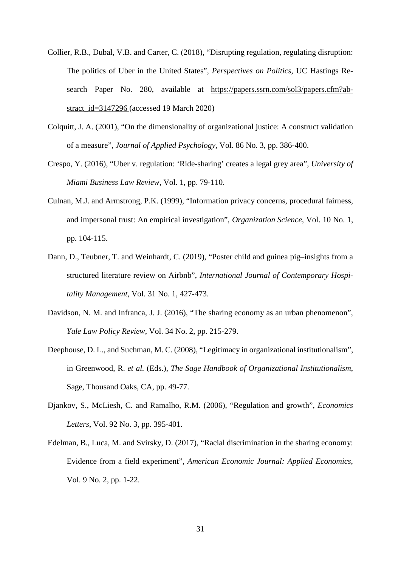- Collier, R.B., Dubal, V.B. and Carter, C. (2018), "Disrupting regulation, regulating disruption: The politics of Uber in the United States", *Perspectives on Politics*, UC Hastings Research Paper No. 280, available at https://papers.ssrn.com/sol3/papers.cfm?abstract\_id=3147296 (accessed 19 March 2020)
- Colquitt, J. A. (2001), "On the dimensionality of organizational justice: A construct validation of a measure", *Journal of Applied Psychology*, Vol. 86 No. 3, pp. 386-400.
- Crespo, Y. (2016), "Uber v. regulation: 'Ride-sharing' creates a legal grey area", *University of Miami Business Law Review*, Vol. 1, pp. 79-110.
- Culnan, M.J. and Armstrong, P.K. (1999), "Information privacy concerns, procedural fairness, and impersonal trust: An empirical investigation", *Organization Science*, Vol. 10 No. 1, pp. 104-115.
- Dann, D., Teubner, T. and Weinhardt, C. (2019), "Poster child and guinea pig–insights from a structured literature review on Airbnb", *International Journal of Contemporary Hospitality Management*, Vol. 31 No. 1, 427-473.
- Davidson, N. M. and Infranca, J. J. (2016), "The sharing economy as an urban phenomenon", *Yale Law Policy Review*, Vol. 34 No. 2, pp. 215-279.
- Deephouse, D. L., and Suchman, M. C. (2008), "Legitimacy in organizational institutionalism", in Greenwood, R. *et al.* (Eds.), *The Sage Handbook of Organizational Institutionalism*, Sage, Thousand Oaks, CA, pp. 49-77.
- Djankov, S., McLiesh, C. and Ramalho, R.M. (2006), "Regulation and growth", *Economics Letters*, Vol. 92 No. 3, pp. 395-401.
- Edelman, B., Luca, M. and Svirsky, D. (2017), "Racial discrimination in the sharing economy: Evidence from a field experiment", *American Economic Journal: Applied Economics*, Vol. 9 No. 2, pp. 1-22.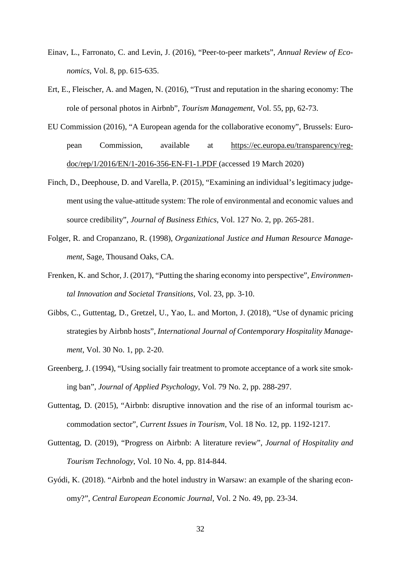- Einav, L., Farronato, C. and Levin, J. (2016), "Peer-to-peer markets", *Annual Review of Economics*, Vol. 8, pp. 615-635.
- Ert, E., Fleischer, A. and Magen, N. (2016), "Trust and reputation in the sharing economy: The role of personal photos in Airbnb", *Tourism Management*, Vol. 55, pp, 62-73.
- EU Commission (2016), "A European agenda for the collaborative economy", Brussels: European Commission, available at [https://ec.europa.eu/transparency/reg](https://ec.europa.eu/transparency/regdoc/rep/1/2016/EN/1-2016-356-EN-F1-1.PDF)[doc/rep/1/2016/EN/1-2016-356-EN-F1-1.PDF](https://ec.europa.eu/transparency/regdoc/rep/1/2016/EN/1-2016-356-EN-F1-1.PDF) (accessed 19 March 2020)
- Finch, D., Deephouse, D. and Varella, P. (2015), "Examining an individual's legitimacy judgement using the value-attitude system: The role of environmental and economic values and source credibility", *Journal of Business Ethics*, Vol. 127 No. 2, pp. 265-281.
- Folger, R. and Cropanzano, R. (1998), *Organizational Justice and Human Resource Management*, Sage, Thousand Oaks, CA.
- Frenken, K. and Schor, J. (2017), "Putting the sharing economy into perspective", *Environmental Innovation and Societal Transitions*, Vol. 23, pp. 3-10.
- Gibbs, C., Guttentag, D., Gretzel, U., Yao, L. and Morton, J. (2018), "Use of dynamic pricing strategies by Airbnb hosts", *International Journal of Contemporary Hospitality Management*, Vol. 30 No. 1, pp. 2-20.
- Greenberg, J. (1994), "Using socially fair treatment to promote acceptance of a work site smoking ban", *Journal of Applied Psychology*, Vol. 79 No. 2, pp. 288-297.
- Guttentag, D. (2015), "Airbnb: disruptive innovation and the rise of an informal tourism accommodation sector", *Current Issues in Tourism*, Vol. 18 No. 12, pp. 1192-1217.
- Guttentag, D. (2019), "Progress on Airbnb: A literature review", *Journal of Hospitality and Tourism Technology*, Vol. 10 No. 4, pp. 814-844.
- Gyódi, K. (2018). "Airbnb and the hotel industry in Warsaw: an example of the sharing economy?", *Central European Economic Journal*, Vol. 2 No. 49, pp. 23-34.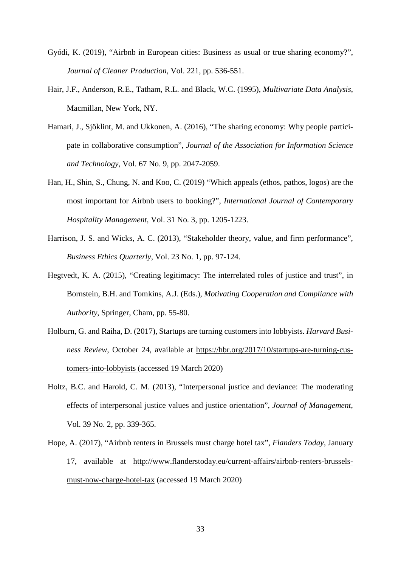- Gyódi, K. (2019), "Airbnb in European cities: Business as usual or true sharing economy?", *Journal of Cleaner Production*, Vol. 221, pp. 536-551.
- Hair, J.F., Anderson, R.E., Tatham, R.L. and Black, W.C. (1995), *Multivariate Data Analysis*, Macmillan, New York, NY.
- Hamari, J., Sjöklint, M. and Ukkonen, A. (2016), "The sharing economy: Why people participate in collaborative consumption", *Journal of the Association for Information Science and Technology*, Vol. 67 No. 9, pp. 2047-2059.
- Han, H., Shin, S., Chung, N. and Koo, C. (2019) "Which appeals (ethos, pathos, logos) are the most important for Airbnb users to booking?", *International Journal of Contemporary Hospitality Management*, Vol. 31 No. 3, pp. 1205-1223.
- Harrison, J. S. and Wicks, A. C. (2013), "Stakeholder theory, value, and firm performance", *Business Ethics Quarterly*, Vol. 23 No. 1, pp. 97-124.
- Hegtvedt, K. A. (2015), "Creating legitimacy: The interrelated roles of justice and trust", in Bornstein, B.H. and Tomkins, A.J. (Eds.), *Motivating Cooperation and Compliance with Authority*, Springer, Cham, pp. 55-80.
- Holburn, G. and Raiha, D. (2017), Startups are turning customers into lobbyists. *Harvard Business Review*, October 24, available at [https://hbr.org/2017/10/startups-are-turning-cus](https://hbr.org/2017/10/startups-are-turning-customers-into-lobbyists)[tomers-into-lobbyists](https://hbr.org/2017/10/startups-are-turning-customers-into-lobbyists) (accessed 19 March 2020)
- Holtz, B.C. and Harold, C. M. (2013), "Interpersonal justice and deviance: The moderating effects of interpersonal justice values and justice orientation", *Journal of Management*, Vol. 39 No. 2, pp. 339-365.
- Hope, A. (2017), "Airbnb renters in Brussels must charge hotel tax", *Flanders Today*, January 17, available at [http://www.flanderstoday.eu/current-affairs/airbnb-renters-brussels](http://www.flanderstoday.eu/current-affairs/airbnb-renters-brussels-must-now-charge-hotel-tax)[must-now-charge-hotel-tax](http://www.flanderstoday.eu/current-affairs/airbnb-renters-brussels-must-now-charge-hotel-tax) (accessed 19 March 2020)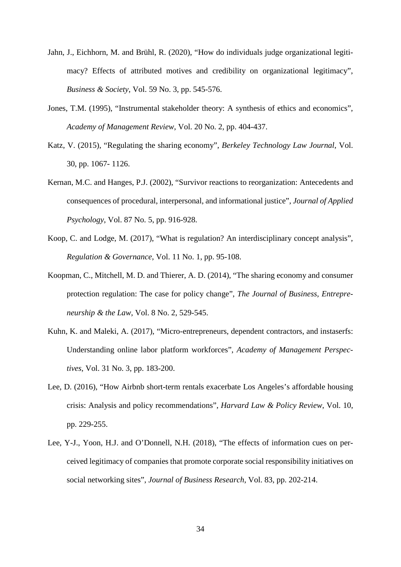- Jahn, J., Eichhorn, M. and Brühl, R. (2020), "How do individuals judge organizational legitimacy? Effects of attributed motives and credibility on organizational legitimacy", *Business & Society*, Vol. 59 No. 3, pp. 545-576.
- Jones, T.M. (1995), "Instrumental stakeholder theory: A synthesis of ethics and economics", *Academy of Management Review*, Vol. 20 No. 2, pp. 404-437.
- Katz, V. (2015), "Regulating the sharing economy", *Berkeley Technology Law Journal*, Vol. 30, pp. 1067- 1126.
- Kernan, M.C. and Hanges, P.J. (2002), "Survivor reactions to reorganization: Antecedents and consequences of procedural, interpersonal, and informational justice", *Journal of Applied Psychology*, Vol. 87 No. 5, pp. 916-928.
- Koop, C. and Lodge, M. (2017), "What is regulation? An interdisciplinary concept analysis", *Regulation & Governance*, Vol. 11 No. 1, pp. 95-108.
- Koopman, C., Mitchell, M. D. and Thierer, A. D. (2014), "The sharing economy and consumer protection regulation: The case for policy change", *The Journal of Business, Entrepreneurship & the Law*, Vol. 8 No. 2, 529-545.
- Kuhn, K. and Maleki, A. (2017), "Micro-entrepreneurs, dependent contractors, and instaserfs: Understanding online labor platform workforces", *Academy of Management Perspectives*, Vol. 31 No. 3, pp. 183-200.
- Lee, D. (2016), "How Airbnb short-term rentals exacerbate Los Angeles's affordable housing crisis: Analysis and policy recommendations", *Harvard Law & Policy Review*, Vol. 10, pp. 229-255.
- Lee, Y-J., Yoon, H.J. and O'Donnell, N.H. (2018), "The effects of information cues on perceived legitimacy of companies that promote corporate social responsibility initiatives on social networking sites", *Journal of Business Research*, Vol. 83, pp. 202-214.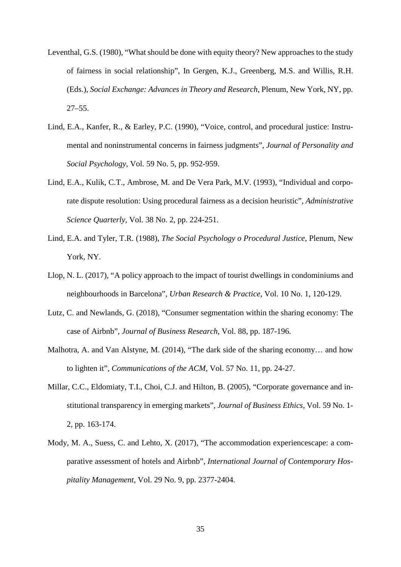- Leventhal, G.S. (1980), "What should be done with equity theory? New approaches to the study of fairness in social relationship", In Gergen, K.J., Greenberg, M.S. and Willis, R.H. (Eds.), *Social Exchange: Advances in Theory and Research*, Plenum, New York, NY, pp. 27–55.
- Lind, E.A., Kanfer, R., & Earley, P.C. (1990), "Voice, control, and procedural justice: Instrumental and noninstrumental concerns in fairness judgments", *Journal of Personality and Social Psychology*, Vol. 59 No. 5, pp. 952-959.
- Lind, E.A., Kulik, C.T., Ambrose, M. and De Vera Park, M.V. (1993), "Individual and corporate dispute resolution: Using procedural fairness as a decision heuristic", *Administrative Science Quarterly*, Vol. 38 No. 2, pp. 224-251.
- Lind, E.A. and Tyler, T.R. (1988), *The Social Psychology o Procedural Justice*, Plenum, New York, NY.
- Llop, N. L. (2017), "A policy approach to the impact of tourist dwellings in condominiums and neighbourhoods in Barcelona", *Urban Research & Practice*, Vol. 10 No. 1, 120-129.
- Lutz, C. and Newlands, G. (2018), "Consumer segmentation within the sharing economy: The case of Airbnb", *Journal of Business Research*, Vol. 88, pp. 187-196.
- Malhotra, A. and Van Alstyne, M. (2014), "The dark side of the sharing economy… and how to lighten it", *Communications of the ACM*, Vol. 57 No. 11, pp. 24-27.
- Millar, C.C., Eldomiaty, T.I., Choi, C.J. and Hilton, B. (2005), "Corporate governance and institutional transparency in emerging markets", *Journal of Business Ethics*, Vol. 59 No. 1- 2, pp. 163-174.
- Mody, M. A., Suess, C. and Lehto, X. (2017), "The accommodation experiencescape: a comparative assessment of hotels and Airbnb", *International Journal of Contemporary Hospitality Management*, Vol. 29 No. 9, pp. 2377-2404.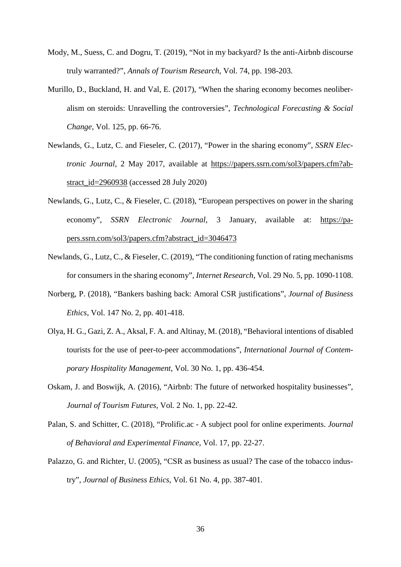- Mody, M., Suess, C. and Dogru, T. (2019), "Not in my backyard? Is the anti-Airbnb discourse truly warranted?", *Annals of Tourism Research*, Vol. 74, pp. 198-203.
- Murillo, D., Buckland, H. and Val, E. (2017), "When the sharing economy becomes neoliberalism on steroids: Unravelling the controversies", *Technological Forecasting & Social Change*, Vol. 125, pp. 66-76.
- Newlands, G., Lutz, C. and Fieseler, C. (2017), "Power in the sharing economy", *SSRN Electronic Journal*, 2 May 2017, available at [https://papers.ssrn.com/sol3/papers.cfm?ab](https://papers.ssrn.com/sol3/papers.cfm?abstract_id=2960938)stract  $id=2960938$  (accessed 28 July 2020)
- Newlands, G., Lutz, C., & Fieseler, C. (2018), "European perspectives on power in the sharing economy", *SSRN Electronic Journal*, 3 January, available at: [https://pa](https://papers.ssrn.com/sol3/papers.cfm?abstract_id=3046473)[pers.ssrn.com/sol3/papers.cfm?abstract\\_id=3046473](https://papers.ssrn.com/sol3/papers.cfm?abstract_id=3046473)
- Newlands, G., Lutz, C., & Fieseler, C. (2019), "The conditioning function of rating mechanisms for consumers in the sharing economy", *Internet Research*, Vol. 29 No. 5, pp. 1090-1108.
- Norberg, P. (2018), "Bankers bashing back: Amoral CSR justifications", *Journal of Business Ethics*, Vol. 147 No. 2, pp. 401-418.
- Olya, H. G., Gazi, Z. A., Aksal, F. A. and Altinay, M. (2018), "Behavioral intentions of disabled tourists for the use of peer-to-peer accommodations", *International Journal of Contemporary Hospitality Management*, Vol. 30 No. 1, pp. 436-454.
- Oskam, J. and Boswijk, A. (2016), "Airbnb: The future of networked hospitality businesses", *Journal of Tourism Futures*, Vol. 2 No. 1, pp. 22-42.
- Palan, S. and Schitter, C. (2018), "Prolific.ac A subject pool for online experiments. *Journal of Behavioral and Experimental Finance*, Vol. 17, pp. 22-27.
- Palazzo, G. and Richter, U. (2005), "CSR as business as usual? The case of the tobacco industry", *Journal of Business Ethics*, Vol. 61 No. 4, pp. 387-401.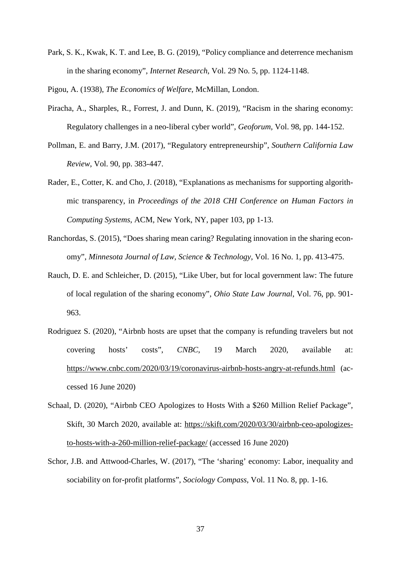Park, S. K., Kwak, K. T. and Lee, B. G. (2019), "Policy compliance and deterrence mechanism in the sharing economy", *Internet Research*, Vol. 29 No. 5, pp. 1124-1148.

Pigou, A. (1938), *The Economics of Welfare*, McMillan, London.

- Piracha, A., Sharples, R., Forrest, J. and Dunn, K. (2019), "Racism in the sharing economy: Regulatory challenges in a neo-liberal cyber world", *Geoforum,* Vol. 98, pp. 144-152.
- Pollman, E. and Barry, J.M. (2017), "Regulatory entrepreneurship", *Southern California Law Review*, Vol. 90, pp. 383-447.
- Rader, E., Cotter, K. and Cho, J. (2018), "Explanations as mechanisms for supporting algorithmic transparency, in *Proceedings of the 2018 CHI Conference on Human Factors in Computing Systems*, ACM, New York, NY, paper 103, pp 1-13.
- Ranchordas, S. (2015), "Does sharing mean caring? Regulating innovation in the sharing economy", *Minnesota Journal of Law, Science & Technology*, Vol. 16 No. 1, pp. 413-475.
- Rauch, D. E. and Schleicher, D. (2015), "Like Uber, but for local government law: The future of local regulation of the sharing economy", *Ohio State Law Journal*, Vol. 76, pp. 901- 963.
- Rodriguez S. (2020), "Airbnb hosts are upset that the company is refunding travelers but not covering hosts' costs", *CNBC*, 19 March 2020, available at: <https://www.cnbc.com/2020/03/19/coronavirus-airbnb-hosts-angry-at-refunds.html> (accessed 16 June 2020)
- Schaal, D. (2020), "Airbnb CEO Apologizes to Hosts With a \$260 Million Relief Package", Skift, 30 March 2020, available at: [https://skift.com/2020/03/30/airbnb-ceo-apologizes](https://skift.com/2020/03/30/airbnb-ceo-apologizes-to-hosts-with-a-260-million-relief-package/)[to-hosts-with-a-260-million-relief-package/](https://skift.com/2020/03/30/airbnb-ceo-apologizes-to-hosts-with-a-260-million-relief-package/) (accessed 16 June 2020)
- Schor, J.B. and Attwood-Charles, W. (2017), "The 'sharing' economy: Labor, inequality and sociability on for-profit platforms", *Sociology Compass*, Vol. 11 No. 8, pp. 1-16.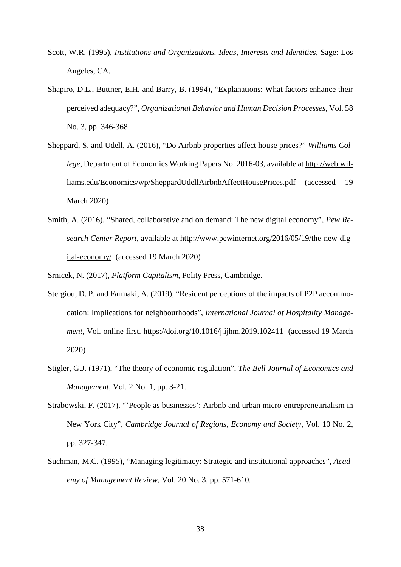- Scott, W.R. (1995), *Institutions and Organizations. Ideas, Interests and Identities*, Sage: Los Angeles, CA.
- Shapiro, D.L., Buttner, E.H. and Barry, B. (1994), "Explanations: What factors enhance their perceived adequacy?", *Organizational Behavior and Human Decision Processes*, Vol. 58 No. 3, pp. 346-368.
- Sheppard, S. and Udell, A. (2016), "Do Airbnb properties affect house prices?" *Williams College*, Department of Economics Working Papers No. 2016-03, available at [http://web.wil](http://web.williams.edu/Economics/wp/SheppardUdellAirbnbAffectHousePrices.pdf)[liams.edu/Economics/wp/SheppardUdellAirbnbAffectHousePrices.pdf](http://web.williams.edu/Economics/wp/SheppardUdellAirbnbAffectHousePrices.pdf) (accessed 19 March 2020)
- Smith, A. (2016), "Shared, collaborative and on demand: The new digital economy", *Pew Research Center Report*, available at [http://www.pewinternet.org/2016/05/19/the-new-dig](http://www.pewinternet.org/2016/05/19/the-new-digital-economy/)[ital-economy/](http://www.pewinternet.org/2016/05/19/the-new-digital-economy/) (accessed 19 March 2020)

Srnicek, N. (2017), *Platform Capitalism*, Polity Press, Cambridge.

- Stergiou, D. P. and Farmaki, A. (2019), "Resident perceptions of the impacts of P2P accommodation: Implications for neighbourhoods", *International Journal of Hospitality Management*, Vol. online first. <https://doi.org/10.1016/j.ijhm.2019.102411> (accessed 19 March 2020)
- Stigler, G.J. (1971), "The theory of economic regulation", *The Bell Journal of Economics and Management*, Vol. 2 No. 1, pp. 3-21.
- Strabowski, F. (2017). "'People as businesses': Airbnb and urban micro-entrepreneurialism in New York City", *Cambridge Journal of Regions, Economy and Society*, Vol. 10 No. 2, pp. 327-347.
- Suchman, M.C. (1995), "Managing legitimacy: Strategic and institutional approaches", *Academy of Management Review*, Vol. 20 No. 3, pp. 571-610.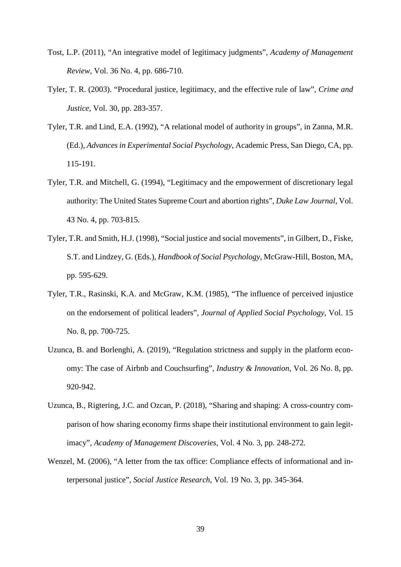- Tost, L.P. (2011), "An integrative model of legitimacy judgments", *Academy of Management Review*, Vol. 36 No. 4, pp. 686-710.
- Tyler, T. R. (2003). "Procedural justice, legitimacy, and the effective rule of law", *Crime and Justice*, Vol. 30, pp. 283-357.
- Tyler, T.R. and Lind, E.A. (1992), "A relational model of authority in groups", in Zanna, M.R. (Ed.), *Advances in Experimental Social Psychology*, Academic Press, San Diego, CA, pp. 115-191.
- Tyler, T.R. and Mitchell, G. (1994), "Legitimacy and the empowerment of discretionary legal authority: The United States Supreme Court and abortion rights", *Duke Law Journal*, Vol. 43 No. 4, pp. 703-815.
- Tyler, T.R. and Smith, H.J. (1998), "Social justice and social movements", in Gilbert, D., Fiske, S.T. and Lindzey, G. (Eds.), *Handbook of Social Psychology*, McGraw-Hill, Boston, MA, pp. 595-629.
- Tyler, T.R., Rasinski, K.A. and McGraw, K.M. (1985), "The influence of perceived injustice on the endorsement of political leaders", *Journal of Applied Social Psychology*, Vol. 15 No. 8, pp. 700-725.
- Uzunca, B. and Borlenghi, A. (2019), "Regulation strictness and supply in the platform economy: The case of Airbnb and Couchsurfing", *Industry & Innovation*, Vol. 26 No. 8, pp. 920-942.
- Uzunca, B., Rigtering, J.C. and Ozcan, P. (2018), "Sharing and shaping: A cross-country comparison of how sharing economy firms shape their institutional environment to gain legitimacy", *Academy of Management Discoveries*, Vol. 4 No. 3, pp. 248-272.
- Wenzel, M. (2006), "A letter from the tax office: Compliance effects of informational and interpersonal justice", *Social Justice Research*, Vol. 19 No. 3, pp. 345-364.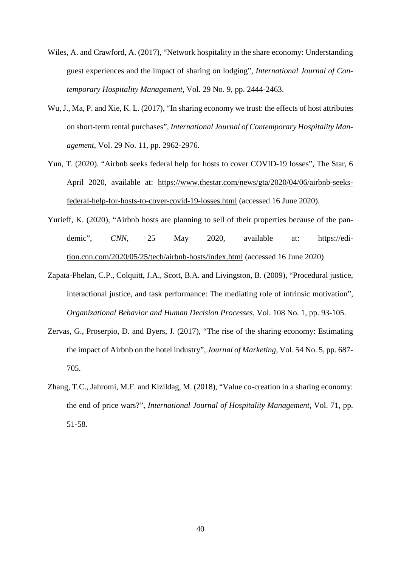- Wiles, A. and Crawford, A. (2017), "Network hospitality in the share economy: Understanding guest experiences and the impact of sharing on lodging", *International Journal of Contemporary Hospitality Management*, Vol. 29 No. 9, pp. 2444-2463.
- Wu, J., Ma, P. and Xie, K. L. (2017), "In sharing economy we trust: the effects of host attributes on short-term rental purchases", *International Journal of Contemporary Hospitality Management*, Vol. 29 No. 11, pp. 2962-2976.
- Yun, T. (2020). "Airbnb seeks federal help for hosts to cover COVID-19 losses", The Star, 6 April 2020, available at: [https://www.thestar.com/news/gta/2020/04/06/airbnb-seeks](https://www.thestar.com/news/gta/2020/04/06/airbnb-seeks-federal-help-for-hosts-to-cover-covid-19-losses.html)[federal-help-for-hosts-to-cover-covid-19-losses.html](https://www.thestar.com/news/gta/2020/04/06/airbnb-seeks-federal-help-for-hosts-to-cover-covid-19-losses.html) (accessed 16 June 2020).
- Yurieff, K. (2020), "Airbnb hosts are planning to sell of their properties because of the pandemic", *CNN*, 25 May 2020, available at: [https://edi](https://edition.cnn.com/2020/05/25/tech/airbnb-hosts/index.html)[tion.cnn.com/2020/05/25/tech/airbnb-hosts/index.html](https://edition.cnn.com/2020/05/25/tech/airbnb-hosts/index.html) (accessed 16 June 2020)
- Zapata-Phelan, C.P., Colquitt, J.A., Scott, B.A. and Livingston, B. (2009), "Procedural justice, interactional justice, and task performance: The mediating role of intrinsic motivation", *Organizational Behavior and Human Decision Processes*, Vol. 108 No. 1, pp. 93-105.
- Zervas, G., Proserpio, D. and Byers, J. (2017), "The rise of the sharing economy: Estimating the impact of Airbnb on the hotel industry", *Journal of Marketing*, Vol. 54 No. 5, pp. 687- 705.
- Zhang, T.C., Jahromi, M.F. and Kizildag, M. (2018), "Value co-creation in a sharing economy: the end of price wars?", *International Journal of Hospitality Management*, Vol. 71, pp. 51-58.